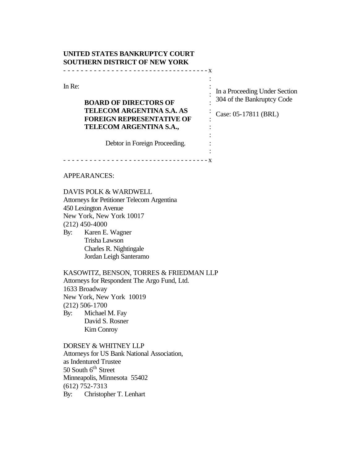# **UNITED STATES BANKRUPTCY COURT SOUTHERN DISTRICT OF NEW YORK** - - - - - - - - - - - - - - - - - - - - - - - - - - - - - - - - - - - x

In Re:

# **BOARD OF DIRECTORS OF TELECOM ARGENTINA S.A. AS FOREIGN REPRESENTATIVE OF TELECOM ARGENTINA S.A.,**

In a Proceeding Under Section : 304 of the Bankruptcy Code

Case: 05-17811 (BRL)

: :

: : : : : :

Debtor in Foreign Proceeding.

- - - - - - - - - - - - - - - - - - - - - - - - - - - - - - - - - - - x

# APPEARANCES:

DAVIS POLK & WARDWELL Attorneys for Petitioner Telecom Argentina 450 Lexington Avenue New York, New York 10017 (212) 450-4000 By: Karen E. Wagner Trisha Lawson

Charles R. Nightingale Jordan Leigh Santeramo

KASOWITZ, BENSON, TORRES & FRIEDMAN LLP Attorneys for Respondent The Argo Fund, Ltd. 1633 Broadway New York, New York 10019 (212) 506-1700 By: Michael M. Fay David S. Rosner Kim Conroy

DORSEY & WHITNEY LLP Attorneys for US Bank National Association, as Indentured Trustee 50 South  $6<sup>th</sup>$  Street Minneapolis, Minnesota 55402 (612) 752-7313 By: Christopher T. Lenhart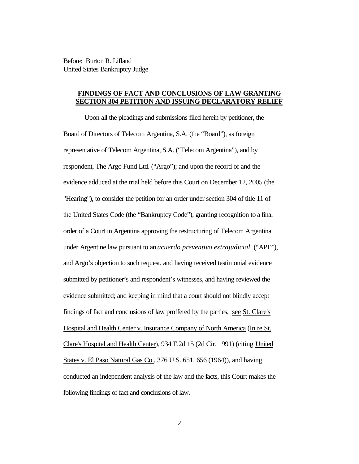Before: Burton R. Lifland United States Bankruptcy Judge

# **FINDINGS OF FACT AND CONCLUSIONS OF LAW GRANTING SECTION 304 PETITION AND ISSUING DECLARATORY RELIEF**

Upon all the pleadings and submissions filed herein by petitioner, the Board of Directors of Telecom Argentina, S.A. (the "Board"), as foreign representative of Telecom Argentina, S.A. ("Telecom Argentina"), and by respondent, The Argo Fund Ltd. ("Argo"); and upon the record of and the evidence adduced at the trial held before this Court on December 12, 2005 (the "Hearing"), to consider the petition for an order under section 304 of title 11 of the United States Code (the "Bankruptcy Code"), granting recognition to a final order of a Court in Argentina approving the restructuring of Telecom Argentina under Argentine law pursuant to an *acuerdo preventivo extrajudicial* ("APE"), and Argo's objection to such request, and having received testimonial evidence submitted by petitioner's and respondent's witnesses, and having reviewed the evidence submitted; and keeping in mind that a court should not blindly accept findings of fact and conclusions of law proffered by the parties, see St. Clare's Hospital and Health Center v. Insurance Company of North America (In re St. Clare's Hospital and Health Center), 934 F.2d 15 (2d Cir. 1991) (citing United States v. El Paso Natural Gas Co., 376 U.S. 651, 656 (1964)), and having conducted an independent analysis of the law and the facts, this Court makes the following findings of fact and conclusions of law.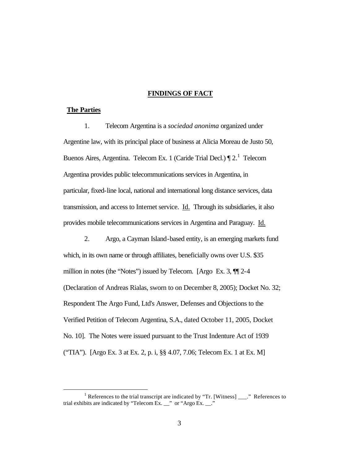## **FINDINGS OF FACT**

## **The Parties**

 $\overline{a}$ 

1. Telecom Argentina is a *sociedad anonima* organized under Argentine law, with its principal place of business at Alicia Moreau de Justo 50, Buenos Aires, Argentina. Telecom Ex. 1 (Caride Trial Decl.)  $\P$  2.<sup>1</sup> Telecom Argentina provides public telecommunications services in Argentina, in particular, fixed-line local, national and international long distance services, data transmission, and access to Internet service. Id. Through its subsidiaries, it also provides mobile telecommunications services in Argentina and Paraguay. Id.

2. Argo, a Cayman Island-based entity, is an emerging markets fund which, in its own name or through affiliates, beneficially owns over U.S. \$35 million in notes (the "Notes") issued by Telecom. [Argo Ex. 3, ¶¶ 2-4 (Declaration of Andreas Rialas, sworn to on December 8, 2005); Docket No. 32; Respondent The Argo Fund, Ltd's Answer, Defenses and Objections to the Verified Petition of Telecom Argentina, S.A., dated October 11, 2005, Docket No. 10]. The Notes were issued pursuant to the Trust Indenture Act of 1939 ("TIA"). [Argo Ex. 3 at Ex. 2, p. i, §§ 4.07, 7.06; Telecom Ex. 1 at Ex. M]

<sup>&</sup>lt;sup>1</sup> References to the trial transcript are indicated by "Tr. [Witness]  $\frac{1}{\sqrt{2}}$  References to trial exhibits are indicated by "Telecom Ex.  $\frac{1}{2}$ " or "Argo Ex.  $\frac{1}{2}$ "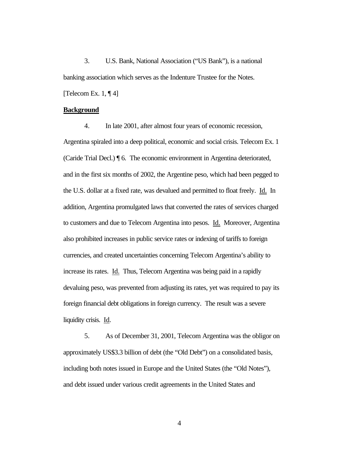3. U.S. Bank, National Association ("US Bank"), is a national banking association which serves as the Indenture Trustee for the Notes. [Telecom Ex.  $1, \P 4$ ]

#### **Background**

4. In late 2001, after almost four years of economic recession, Argentina spiraled into a deep political, economic and social crisis. Telecom Ex. 1 (Caride Trial Decl.) ¶ 6. The economic environment in Argentina deteriorated, and in the first six months of 2002, the Argentine peso, which had been pegged to the U.S. dollar at a fixed rate, was devalued and permitted to float freely. Id. In addition, Argentina promulgated laws that converted the rates of services charged to customers and due to Telecom Argentina into pesos. Id. Moreover, Argentina also prohibited increases in public service rates or indexing of tariffs to foreign currencies, and created uncertainties concerning Telecom Argentina's ability to increase its rates. Id. Thus, Telecom Argentina was being paid in a rapidly devaluing peso, was prevented from adjusting its rates, yet was required to pay its foreign financial debt obligations in foreign currency. The result was a severe liquidity crisis. Id.

5. As of December 31, 2001, Telecom Argentina was the obligor on approximately US\$3.3 billion of debt (the "Old Debt") on a consolidated basis, including both notes issued in Europe and the United States (the "Old Notes"), and debt issued under various credit agreements in the United States and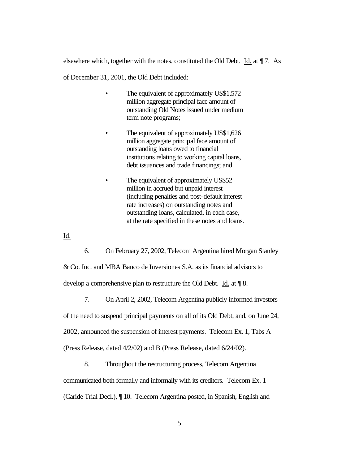elsewhere which, together with the notes, constituted the Old Debt. Id. at ¶ 7. As

of December 31, 2001, the Old Debt included:

- The equivalent of approximately US\$1,572 million aggregate principal face amount of outstanding Old Notes issued under medium term note programs;
- The equivalent of approximately US\$1,626 million aggregate principal face amount of outstanding loans owed to financial institutions relating to working capital loans, debt issuances and trade financings; and
- The equivalent of approximately US\$52 million in accrued but unpaid interest (including penalties and post-default interest rate increases) on outstanding notes and outstanding loans, calculated, in each case, at the rate specified in these notes and loans.

Id.

6. On February 27, 2002, Telecom Argentina hired Morgan Stanley

& Co. Inc. and MBA Banco de Inversiones S.A. as its financial advisors to develop a comprehensive plan to restructure the Old Debt. Id. at ¶ 8.

7. On April 2, 2002, Telecom Argentina publicly informed investors

of the need to suspend principal payments on all of its Old Debt, and, on June 24,

2002, announced the suspension of interest payments. Telecom Ex. 1, Tabs A

(Press Release, dated 4/2/02) and B (Press Release, dated 6/24/02).

8. Throughout the restructuring process, Telecom Argentina communicated both formally and informally with its creditors. Telecom Ex. 1 (Caride Trial Decl.), ¶ 10. Telecom Argentina posted, in Spanish, English and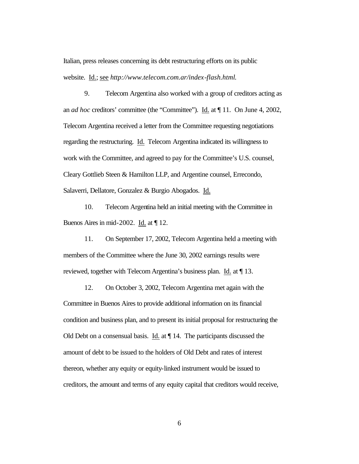Italian, press releases concerning its debt restructuring efforts on its public website. Id.; see *http://www.telecom.com.ar/index-flash.html*.

9. Telecom Argentina also worked with a group of creditors acting as an *ad hoc* creditors' committee (the "Committee"). Id. at ¶ 11. On June 4, 2002, Telecom Argentina received a letter from the Committee requesting negotiations regarding the restructuring. Id. Telecom Argentina indicated its willingness to work with the Committee, and agreed to pay for the Committee's U.S. counsel, Cleary Gottlieb Steen & Hamilton LLP, and Argentine counsel, Errecondo, Salaverri, Dellatore, Gonzalez & Burgio Abogados. Id.

10. Telecom Argentina held an initial meeting with the Committee in Buenos Aires in mid-2002. Id. at ¶ 12.

11. On September 17, 2002, Telecom Argentina held a meeting with members of the Committee where the June 30, 2002 earnings results were reviewed, together with Telecom Argentina's business plan. Id. at ¶ 13.

12. On October 3, 2002, Telecom Argentina met again with the Committee in Buenos Aires to provide additional information on its financial condition and business plan, and to present its initial proposal for restructuring the Old Debt on a consensual basis. Id. at ¶ 14. The participants discussed the amount of debt to be issued to the holders of Old Debt and rates of interest thereon, whether any equity or equity-linked instrument would be issued to creditors, the amount and terms of any equity capital that creditors would receive,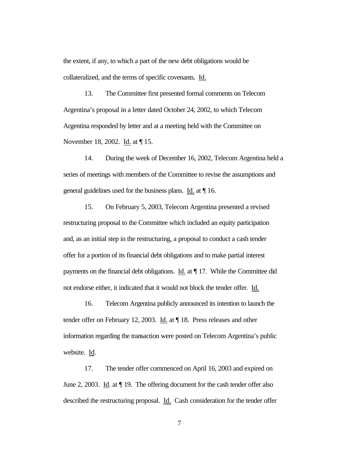the extent, if any, to which a part of the new debt obligations would be collateralized, and the terms of specific covenants. Id.

13. The Committee first presented formal comments on Telecom Argentina's proposal in a letter dated October 24, 2002, to which Telecom Argentina responded by letter and at a meeting held with the Committee on November 18, 2002. Id. at  $\P$  15.

14. During the week of December 16, 2002, Telecom Argentina held a series of meetings with members of the Committee to revise the assumptions and general guidelines used for the business plans. Id. at ¶ 16.

15. On February 5, 2003, Telecom Argentina presented a revised restructuring proposal to the Committee which included an equity participation and, as an initial step in the restructuring, a proposal to conduct a cash tender offer for a portion of its financial debt obligations and to make partial interest payments on the financial debt obligations. Id. at ¶ 17. While the Committee did not endorse either, it indicated that it would not block the tender offer. Id.

16. Telecom Argentina publicly announced its intention to launch the tender offer on February 12, 2003. Id. at ¶ 18. Press releases and other information regarding the transaction were posted on Telecom Argentina's public website. Id.

17. The tender offer commenced on April 16, 2003 and expired on June 2, 2003. Id. at ¶ 19. The offering document for the cash tender offer also described the restructuring proposal. Id. Cash consideration for the tender offer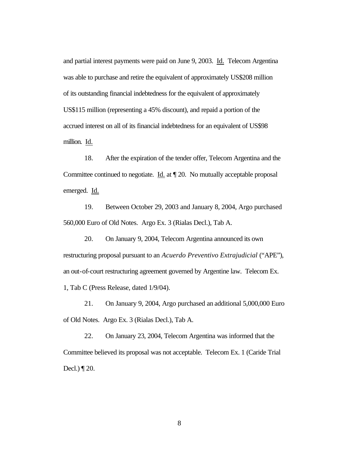and partial interest payments were paid on June 9, 2003. Id. Telecom Argentina was able to purchase and retire the equivalent of approximately US\$208 million of its outstanding financial indebtedness for the equivalent of approximately US\$115 million (representing a 45% discount), and repaid a portion of the accrued interest on all of its financial indebtedness for an equivalent of US\$98 million. Id.

18. After the expiration of the tender offer, Telecom Argentina and the Committee continued to negotiate. Id. at ¶ 20. No mutually acceptable proposal emerged. Id.

19. Between October 29, 2003 and January 8, 2004, Argo purchased 560,000 Euro of Old Notes. Argo Ex. 3 (Rialas Decl.), Tab A.

20. On January 9, 2004, Telecom Argentina announced its own restructuring proposal pursuant to an *Acuerdo Preventivo Extrajudicial* ("APE"), an out-of-court restructuring agreement governed by Argentine law. Telecom Ex. 1, Tab C (Press Release, dated 1/9/04).

21. On January 9, 2004, Argo purchased an additional 5,000,000 Euro of Old Notes. Argo Ex. 3 (Rialas Decl.), Tab A.

22. On January 23, 2004, Telecom Argentina was informed that the Committee believed its proposal was not acceptable. Telecom Ex. 1 (Caride Trial Decl.) ¶ 20.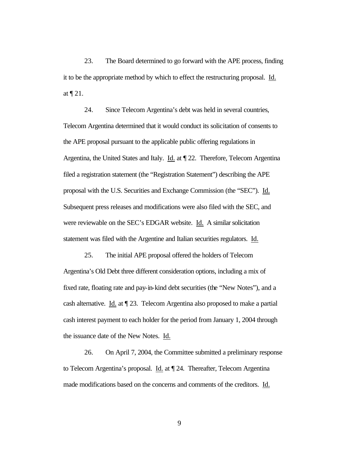23. The Board determined to go forward with the APE process, finding it to be the appropriate method by which to effect the restructuring proposal. Id. at ¶ 21.

24. Since Telecom Argentina's debt was held in several countries, Telecom Argentina determined that it would conduct its solicitation of consents to the APE proposal pursuant to the applicable public offering regulations in Argentina, the United States and Italy. Id. at ¶ 22. Therefore, Telecom Argentina filed a registration statement (the "Registration Statement") describing the APE proposal with the U.S. Securities and Exchange Commission (the "SEC"). Id. Subsequent press releases and modifications were also filed with the SEC, and were reviewable on the SEC's EDGAR website. Id. A similar solicitation statement was filed with the Argentine and Italian securities regulators. Id.

25. The initial APE proposal offered the holders of Telecom Argentina's Old Debt three different consideration options, including a mix of fixed rate, floating rate and pay-in-kind debt securities (the "New Notes"), and a cash alternative. Id. at ¶ 23. Telecom Argentina also proposed to make a partial cash interest payment to each holder for the period from January 1, 2004 through the issuance date of the New Notes. Id.

26. On April 7, 2004, the Committee submitted a preliminary response to Telecom Argentina's proposal. Id. at ¶ 24. Thereafter, Telecom Argentina made modifications based on the concerns and comments of the creditors. Id.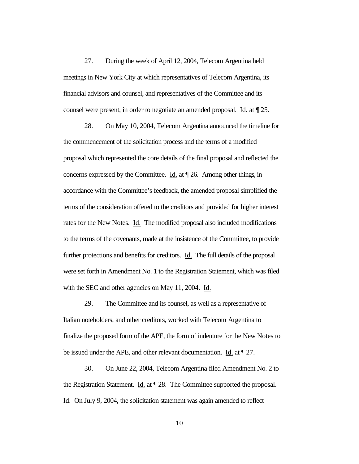27. During the week of April 12, 2004, Telecom Argentina held meetings in New York City at which representatives of Telecom Argentina, its financial advisors and counsel, and representatives of the Committee and its counsel were present, in order to negotiate an amended proposal. Id. at ¶ 25.

28. On May 10, 2004, Telecom Argentina announced the timeline for the commencement of the solicitation process and the terms of a modified proposal which represented the core details of the final proposal and reflected the concerns expressed by the Committee. Id. at ¶ 26. Among other things, in accordance with the Committee's feedback, the amended proposal simplified the terms of the consideration offered to the creditors and provided for higher interest rates for the New Notes. Id. The modified proposal also included modifications to the terms of the covenants, made at the insistence of the Committee, to provide further protections and benefits for creditors. Id. The full details of the proposal were set forth in Amendment No. 1 to the Registration Statement, which was filed with the SEC and other agencies on May 11, 2004. Id.

29. The Committee and its counsel, as well as a representative of Italian noteholders, and other creditors, worked with Telecom Argentina to finalize the proposed form of the APE, the form of indenture for the New Notes to be issued under the APE, and other relevant documentation. Id. at ¶ 27.

30. On June 22, 2004, Telecom Argentina filed Amendment No. 2 to the Registration Statement. Id. at ¶ 28. The Committee supported the proposal. Id. On July 9, 2004, the solicitation statement was again amended to reflect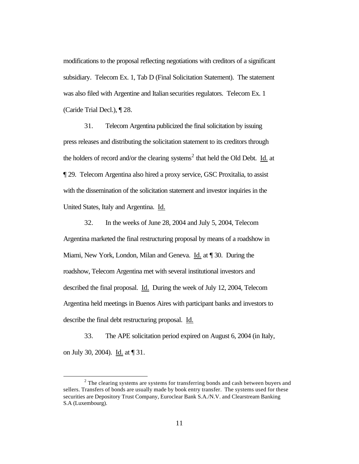modifications to the proposal reflecting negotiations with creditors of a significant subsidiary. Telecom Ex. 1, Tab D (Final Solicitation Statement). The statement was also filed with Argentine and Italian securities regulators. Telecom Ex. 1 (Caride Trial Decl.), ¶ 28.

31. Telecom Argentina publicized the final solicitation by issuing press releases and distributing the solicitation statement to its creditors through the holders of record and/or the clearing systems<sup>2</sup> that held the Old Debt. Id. at ¶ 29. Telecom Argentina also hired a proxy service, GSC Proxitalia, to assist with the dissemination of the solicitation statement and investor inquiries in the United States, Italy and Argentina. Id.

32. In the weeks of June 28, 2004 and July 5, 2004, Telecom Argentina marketed the final restructuring proposal by means of a roadshow in Miami, New York, London, Milan and Geneva. Id. at ¶ 30. During the roadshow, Telecom Argentina met with several institutional investors and described the final proposal. Id. During the week of July 12, 2004, Telecom Argentina held meetings in Buenos Aires with participant banks and investors to describe the final debt restructuring proposal. Id.

33. The APE solicitation period expired on August 6, 2004 (in Italy, on July 30, 2004). Id. at ¶ 31.

 $\overline{a}$ 

 $2<sup>2</sup>$  The clearing systems are systems for transferring bonds and cash between buyers and sellers. Transfers of bonds are usually made by book entry transfer. The systems used for these securities are Depository Trust Company, Euroclear Bank S.A./N.V. and Clearstream Banking S.A (Luxembourg).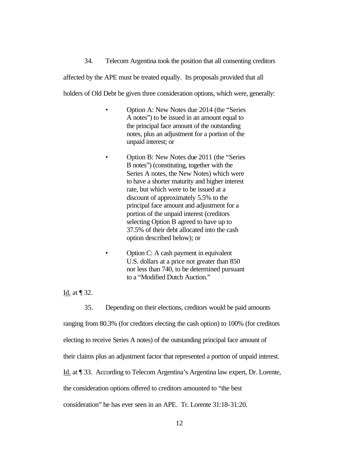34. Telecom Argentina took the position that all consenting creditors

affected by the APE must be treated equally. Its proposals provided that all

holders of Old Debt be given three consideration options, which were, generally:

- Option A: New Notes due 2014 (the "Series A notes") to be issued in an amount equal to the principal face amount of the outstanding notes, plus an adjustment for a portion of the unpaid interest; or
- Option B: New Notes due 2011 (the "Series B notes") (constituting, together with the Series A notes, the New Notes) which were to have a shorter maturity and higher interest rate, but which were to be issued at a discount of approximately 5.5% to the principal face amount and adjustment for a portion of the unpaid interest (creditors selecting Option B agreed to have up to 37.5% of their debt allocated into the cash option described below); or
- Option C: A cash payment in equivalent U.S. dollars at a price not greater than 850 nor less than 740, to be determined pursuant to a "Modified Dutch Auction."

Id. at ¶ 32.

35. Depending on their elections, creditors would be paid amounts

ranging from 80.3% (for creditors electing the cash option) to 100% (for creditors

electing to receive Series A notes) of the outstanding principal face amount of

their claims plus an adjustment factor that represented a portion of unpaid interest.

Id. at ¶ 33. According to Telecom Argentina's Argentina law expert, Dr. Lorente,

the consideration options offered to creditors amounted to "the best

consideration" he has ever seen in an APE. Tr. Lorente 31:18-31:20.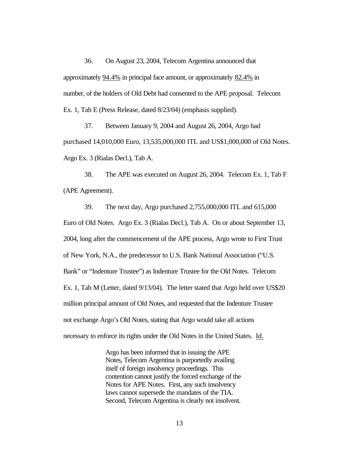36. On August 23, 2004, Telecom Argentina announced that approximately 94.4% in principal face amount, or approximately 82.4% in number, of the holders of Old Debt had consented to the APE proposal. Telecom Ex. 1, Tab E (Press Release, dated 8/23/04) (emphasis supplied).

37. Between January 9, 2004 and August 26, 2004, Argo had purchased 14,010,000 Euro, 13,535,000,000 ITL and US\$1,000,000 of Old Notes. Argo Ex. 3 (Rialas Decl.), Tab A.

38. The APE was executed on August 26, 2004. Telecom Ex. 1, Tab F (APE Agreement).

39. The next day, Argo purchased 2,755,000,000 ITL and 615,000 Euro of Old Notes. Argo Ex. 3 (Rialas Decl.), Tab A. On or about September 13, 2004, long after the commencement of the APE process, Argo wrote to First Trust of New York, N.A., the predecessor to U.S. Bank National Association ("U.S. Bank" or "Indenture Trustee") as Indenture Trustee for the Old Notes. Telecom Ex. 1, Tab M (Letter, dated 9/13/04). The letter stated that Argo held over US\$20 million principal amount of Old Notes, and requested that the Indenture Trustee not exchange Argo's Old Notes, stating that Argo would take all actions necessary to enforce its rights under the Old Notes in the United States. Id.

> Argo has been informed that in issuing the APE Notes, Telecom Argentina is purportedly availing itself of foreign insolvency proceedings. This contention cannot justify the forced exchange of the Notes for APE Notes. First, any such insolvency laws cannot supersede the mandates of the TIA. Second, Telecom Argentina is clearly not insolvent.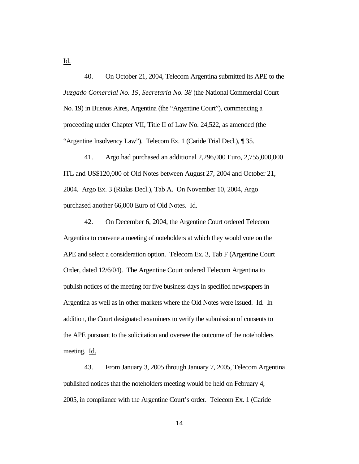40. On October 21, 2004, Telecom Argentina submitted its APE to the *Juzgado Comercial No. 19, Secretaria No. 38* (the National Commercial Court No. 19) in Buenos Aires, Argentina (the "Argentine Court"), commencing a proceeding under Chapter VII, Title II of Law No. 24,522, as amended (the "Argentine Insolvency Law"). Telecom Ex. 1 (Caride Trial Decl.), ¶ 35.

41. Argo had purchased an additional 2,296,000 Euro, 2,755,000,000 ITL and US\$120,000 of Old Notes between August 27, 2004 and October 21, 2004. Argo Ex. 3 (Rialas Decl.), Tab A. On November 10, 2004, Argo purchased another 66,000 Euro of Old Notes. Id.

42. On December 6, 2004, the Argentine Court ordered Telecom Argentina to convene a meeting of noteholders at which they would vote on the APE and select a consideration option. Telecom Ex. 3, Tab F (Argentine Court Order, dated 12/6/04). The Argentine Court ordered Telecom Argentina to publish notices of the meeting for five business days in specified newspapers in Argentina as well as in other markets where the Old Notes were issued. Id. In addition, the Court designated examiners to verify the submission of consents to the APE pursuant to the solicitation and oversee the outcome of the noteholders meeting. Id.

43. From January 3, 2005 through January 7, 2005, Telecom Argentina published notices that the noteholders meeting would be held on February 4, 2005, in compliance with the Argentine Court's order. Telecom Ex. 1 (Caride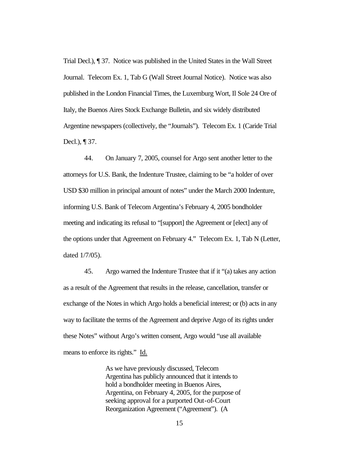Trial Decl.), ¶ 37. Notice was published in the United States in the Wall Street Journal. Telecom Ex. 1, Tab G (Wall Street Journal Notice). Notice was also published in the London Financial Times, the Luxemburg Wort, Il Sole 24 Ore of Italy, the Buenos Aires Stock Exchange Bulletin, and six widely distributed Argentine newspapers (collectively, the "Journals"). Telecom Ex. 1 (Caride Trial Decl.), ¶ 37.

44. On January 7, 2005, counsel for Argo sent another letter to the attorneys for U.S. Bank, the Indenture Trustee, claiming to be "a holder of over USD \$30 million in principal amount of notes" under the March 2000 Indenture, informing U.S. Bank of Telecom Argentina's February 4, 2005 bondholder meeting and indicating its refusal to "[support] the Agreement or [elect] any of the options under that Agreement on February 4." Telecom Ex. 1, Tab N (Letter, dated 1/7/05).

45. Argo warned the Indenture Trustee that if it "(a) takes any action as a result of the Agreement that results in the release, cancellation, transfer or exchange of the Notes in which Argo holds a beneficial interest; or (b) acts in any way to facilitate the terms of the Agreement and deprive Argo of its rights under these Notes" without Argo's written consent, Argo would "use all available means to enforce its rights." Id.

> As we have previously discussed, Telecom Argentina has publicly announced that it intends to hold a bondholder meeting in Buenos Aires, Argentina, on February 4, 2005, for the purpose of seeking approval for a purported Out-of-Court Reorganization Agreement ("Agreement"). (A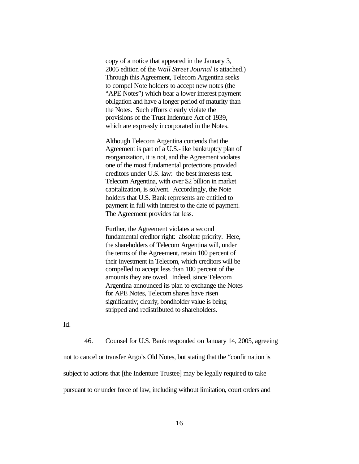copy of a notice that appeared in the January 3, 2005 edition of the *Wall Street Journal* is attached.) Through this Agreement, Telecom Argentina seeks to compel Note holders to accept new notes (the "APE Notes") which bear a lower interest payment obligation and have a longer period of maturity than the Notes. Such efforts clearly violate the provisions of the Trust Indenture Act of 1939, which are expressly incorporated in the Notes.

Although Telecom Argentina contends that the Agreement is part of a U.S.-like bankruptcy plan of reorganization, it is not, and the Agreement violates one of the most fundamental protections provided creditors under U.S. law: the best interests test. Telecom Argentina, with over \$2 billion in market capitalization, is solvent. Accordingly, the Note holders that U.S. Bank represents are entitled to payment in full with interest to the date of payment. The Agreement provides far less.

Further, the Agreement violates a second fundamental creditor right: absolute priority. Here, the shareholders of Telecom Argentina will, under the terms of the Agreement, retain 100 percent of their investment in Telecom, which creditors will be compelled to accept less than 100 percent of the amounts they are owed. Indeed, since Telecom Argentina announced its plan to exchange the Notes for APE Notes, Telecom shares have risen significantly; clearly, bondholder value is being stripped and redistributed to shareholders.

Id.

46. Counsel for U.S. Bank responded on January 14, 2005, agreeing

not to cancel or transfer Argo's Old Notes, but stating that the "confirmation is

subject to actions that [the Indenture Trustee] may be legally required to take

pursuant to or under force of law, including without limitation, court orders and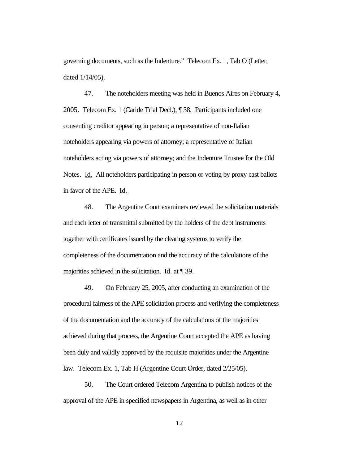governing documents, such as the Indenture." Telecom Ex. 1, Tab O (Letter, dated 1/14/05).

47. The noteholders meeting was held in Buenos Aires on February 4, 2005. Telecom Ex. 1 (Caride Trial Decl.), ¶ 38. Participants included one consenting creditor appearing in person; a representative of non-Italian noteholders appearing via powers of attorney; a representative of Italian noteholders acting via powers of attorney; and the Indenture Trustee for the Old Notes. Id. All noteholders participating in person or voting by proxy cast ballots in favor of the APE. Id.

48. The Argentine Court examiners reviewed the solicitation materials and each letter of transmittal submitted by the holders of the debt instruments together with certificates issued by the clearing systems to verify the completeness of the documentation and the accuracy of the calculations of the majorities achieved in the solicitation. Id. at ¶ 39.

49. On February 25, 2005, after conducting an examination of the procedural fairness of the APE solicitation process and verifying the completeness of the documentation and the accuracy of the calculations of the majorities achieved during that process, the Argentine Court accepted the APE as having been duly and validly approved by the requisite majorities under the Argentine law. Telecom Ex. 1, Tab H (Argentine Court Order, dated 2/25/05).

50. The Court ordered Telecom Argentina to publish notices of the approval of the APE in specified newspapers in Argentina, as well as in other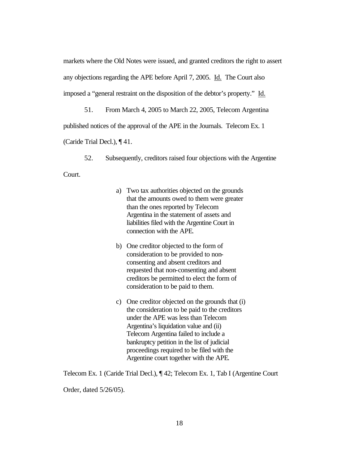markets where the Old Notes were issued, and granted creditors the right to assert any objections regarding the APE before April 7, 2005. Id. The Court also imposed a "general restraint on the disposition of the debtor's property." Id.

51. From March 4, 2005 to March 22, 2005, Telecom Argentina published notices of the approval of the APE in the Journals. Telecom Ex. 1 (Caride Trial Decl.), ¶ 41.

52. Subsequently, creditors raised four objections with the Argentine

Court.

- a) Two tax authorities objected on the grounds that the amounts owed to them were greater than the ones reported by Telecom Argentina in the statement of assets and liabilities filed with the Argentine Court in connection with the APE.
- b) One creditor objected to the form of consideration to be provided to nonconsenting and absent creditors and requested that non-consenting and absent creditors be permitted to elect the form of consideration to be paid to them.
- c) One creditor objected on the grounds that (i) the consideration to be paid to the creditors under the APE was less than Telecom Argentina's liquidation value and (ii) Telecom Argentina failed to include a bankruptcy petition in the list of judicial proceedings required to be filed with the Argentine court together with the APE.

Telecom Ex. 1 (Caride Trial Decl.), ¶ 42; Telecom Ex. 1, Tab I (Argentine Court

Order, dated 5/26/05).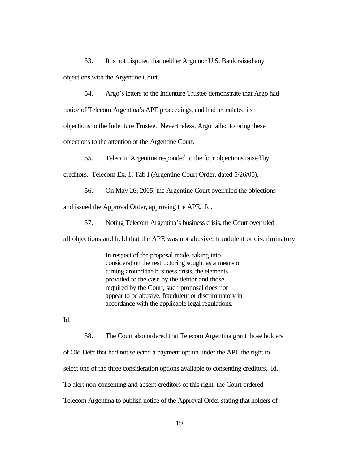53. It is not disputed that neither Argo nor U.S. Bank raised any objections with the Argentine Court.

54. Argo's letters to the Indenture Trustee demonstrate that Argo had notice of Telecom Argentina's APE proceedings, and had articulated its objections to the Indenture Trustee. Nevertheless, Argo failed to bring these objections to the attention of the Argentine Court.

55. Telecom Argentina responded to the four objections raised by

creditors. Telecom Ex. 1, Tab I (Argentine Court Order, dated 5/26/05).

56. On May 26, 2005, the Argentine Court overruled the objections

and issued the Approval Order, approving the APE. Id.

57. Noting Telecom Argentina's business crisis, the Court overruled

all objections and held that the APE was not abusive, fraudulent or discriminatory.

In respect of the proposal made, taking into consideration the restructuring sought as a means of turning around the business crisis, the elements provided to the case by the debtor and those required by the Court, such proposal does not appear to be abusive, fraudulent or discriminatory in accordance with the applicable legal regulations.

Id.

58. The Court also ordered that Telecom Argentina grant those holders of Old Debt that had not selected a payment option under the APE the right to select one of the three consideration options available to consenting creditors. Id. To alert non-consenting and absent creditors of this right, the Court ordered Telecom Argentina to publish notice of the Approval Order stating that holders of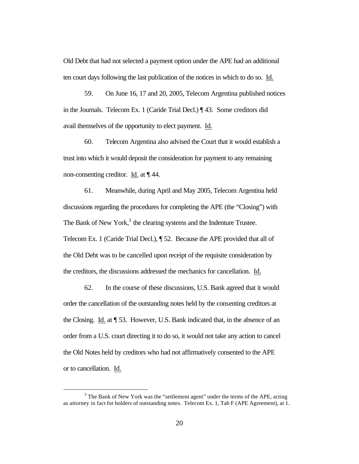Old Debt that had not selected a payment option under the APE had an additional ten court days following the last publication of the notices in which to do so. Id.

59. On June 16, 17 and 20, 2005, Telecom Argentina published notices in the Journals. Telecom Ex. 1 (Caride Trial Decl.) ¶ 43. Some creditors did avail themselves of the opportunity to elect payment. Id.

60. Telecom Argentina also advised the Court that it would establish a trust into which it would deposit the consideration for payment to any remaining non-consenting creditor. Id. at ¶ 44.

61. Meanwhile, during April and May 2005, Telecom Argentina held discussions regarding the procedures for completing the APE (the "Closing") with The Bank of New York, $3$  the clearing systems and the Indenture Trustee. Telecom Ex. 1 (Caride Trial Decl.), ¶ 52. Because the APE provided that all of the Old Debt was to be cancelled upon receipt of the requisite consideration by the creditors, the discussions addressed the mechanics for cancellation. Id.

62. In the course of these discussions, U.S. Bank agreed that it would order the cancellation of the outstanding notes held by the consenting creditors at the Closing. Id. at ¶ 53. However, U.S. Bank indicated that, in the absence of an order from a U.S. court directing it to do so, it would not take any action to cancel the Old Notes held by creditors who had not affirmatively consented to the APE or to cancellation. Id.

 $\overline{a}$ 

 $3$  The Bank of New York was the "settlement agent" under the terms of the APE, acting as attorney in fact for holders of outstanding notes. Telecom Ex. 1, Tab F (APE Agreement), at 1.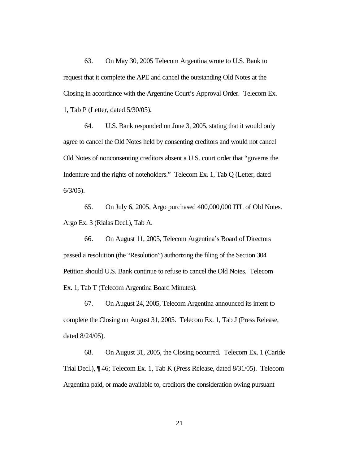63. On May 30, 2005 Telecom Argentina wrote to U.S. Bank to request that it complete the APE and cancel the outstanding Old Notes at the Closing in accordance with the Argentine Court's Approval Order. Telecom Ex. 1, Tab P (Letter, dated 5/30/05).

64. U.S. Bank responded on June 3, 2005, stating that it would only agree to cancel the Old Notes held by consenting creditors and would not cancel Old Notes of nonconsenting creditors absent a U.S. court order that "governs the Indenture and the rights of noteholders." Telecom Ex. 1, Tab Q (Letter, dated 6/3/05).

65. On July 6, 2005, Argo purchased 400,000,000 ITL of Old Notes. Argo Ex. 3 (Rialas Decl.), Tab A.

66. On August 11, 2005, Telecom Argentina's Board of Directors passed a resolution (the "Resolution") authorizing the filing of the Section 304 Petition should U.S. Bank continue to refuse to cancel the Old Notes. Telecom Ex. 1, Tab T (Telecom Argentina Board Minutes).

67. On August 24, 2005, Telecom Argentina announced its intent to complete the Closing on August 31, 2005. Telecom Ex. 1, Tab J (Press Release, dated 8/24/05).

68. On August 31, 2005, the Closing occurred. Telecom Ex. 1 (Caride Trial Decl.), ¶ 46; Telecom Ex. 1, Tab K (Press Release, dated 8/31/05). Telecom Argentina paid, or made available to, creditors the consideration owing pursuant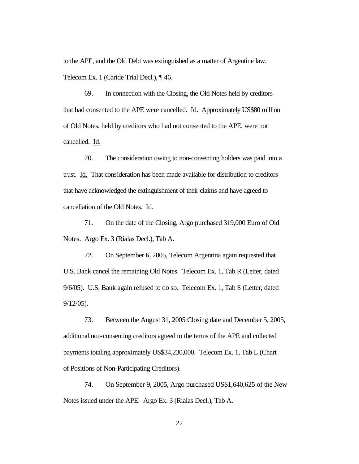to the APE, and the Old Debt was extinguished as a matter of Argentine law. Telecom Ex. 1 (Caride Trial Decl.), ¶ 46.

69. In connection with the Closing, the Old Notes held by creditors that had consented to the APE were cancelled. Id. Approximately US\$80 million of Old Notes, held by creditors who had not consented to the APE, were not cancelled. Id.

70. The consideration owing to non-consenting holders was paid into a trust. Id. That consideration has been made available for distribution to creditors that have acknowledged the extinguishment of their claims and have agreed to cancellation of the Old Notes. Id.

71. On the date of the Closing, Argo purchased 319,000 Euro of Old Notes. Argo Ex. 3 (Rialas Decl.), Tab A.

72. On September 6, 2005, Telecom Argentina again requested that U.S. Bank cancel the remaining Old Notes. Telecom Ex. 1, Tab R (Letter, dated 9/6/05). U.S. Bank again refused to do so. Telecom Ex. 1, Tab S (Letter, dated 9/12/05).

73. Between the August 31, 2005 Closing date and December 5, 2005, additional non-consenting creditors agreed to the terms of the APE and collected payments totaling approximately US\$34,230,000. Telecom Ex. 1, Tab L (Chart of Positions of Non-Participating Creditors).

74. On September 9, 2005, Argo purchased US\$1,640,625 of the New Notes issued under the APE. Argo Ex. 3 (Rialas Decl.), Tab A.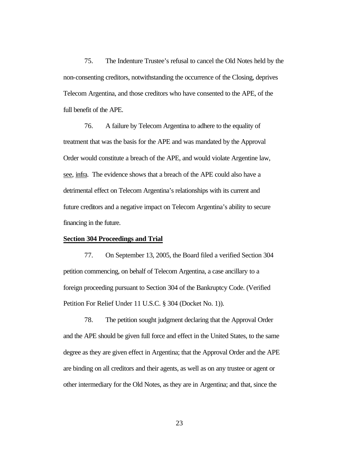75. The Indenture Trustee's refusal to cancel the Old Notes held by the non-consenting creditors, notwithstanding the occurrence of the Closing, deprives Telecom Argentina, and those creditors who have consented to the APE, of the full benefit of the APE.

76. A failure by Telecom Argentina to adhere to the equality of treatment that was the basis for the APE and was mandated by the Approval Order would constitute a breach of the APE, and would violate Argentine law, see, infra. The evidence shows that a breach of the APE could also have a detrimental effect on Telecom Argentina's relationships with its current and future creditors and a negative impact on Telecom Argentina's ability to secure financing in the future.

### **Section 304 Proceedings and Trial**

77. On September 13, 2005, the Board filed a verified Section 304 petition commencing, on behalf of Telecom Argentina, a case ancillary to a foreign proceeding pursuant to Section 304 of the Bankruptcy Code. (Verified Petition For Relief Under 11 U.S.C. § 304 (Docket No. 1)).

78. The petition sought judgment declaring that the Approval Order and the APE should be given full force and effect in the United States, to the same degree as they are given effect in Argentina; that the Approval Order and the APE are binding on all creditors and their agents, as well as on any trustee or agent or other intermediary for the Old Notes, as they are in Argentina; and that, since the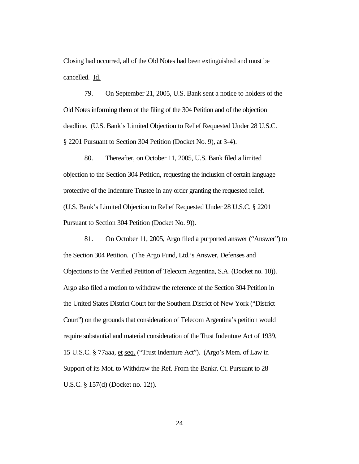Closing had occurred, all of the Old Notes had been extinguished and must be cancelled. Id.

79. On September 21, 2005, U.S. Bank sent a notice to holders of the Old Notes informing them of the filing of the 304 Petition and of the objection deadline. (U.S. Bank's Limited Objection to Relief Requested Under 28 U.S.C. § 2201 Pursuant to Section 304 Petition (Docket No. 9), at 3-4).

80. Thereafter, on October 11, 2005, U.S. Bank filed a limited objection to the Section 304 Petition, requesting the inclusion of certain language protective of the Indenture Trustee in any order granting the requested relief. (U.S. Bank's Limited Objection to Relief Requested Under 28 U.S.C. § 2201 Pursuant to Section 304 Petition (Docket No. 9)).

81. On October 11, 2005, Argo filed a purported answer ("Answer") to the Section 304 Petition. (The Argo Fund, Ltd.'s Answer, Defenses and Objections to the Verified Petition of Telecom Argentina, S.A. (Docket no. 10)). Argo also filed a motion to withdraw the reference of the Section 304 Petition in the United States District Court for the Southern District of New York ("District Court") on the grounds that consideration of Telecom Argentina's petition would require substantial and material consideration of the Trust Indenture Act of 1939, 15 U.S.C. § 77aaa, et seq. ("Trust Indenture Act"). (Argo's Mem. of Law in Support of its Mot. to Withdraw the Ref. From the Bankr. Ct. Pursuant to 28 U.S.C. § 157(d) (Docket no. 12)).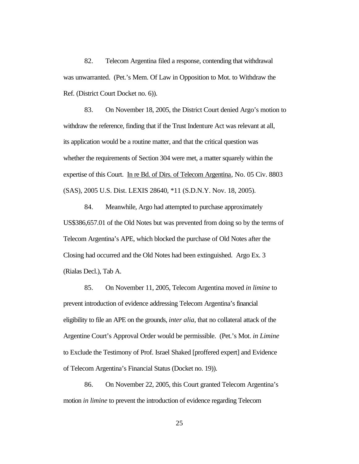82. Telecom Argentina filed a response, contending that withdrawal was unwarranted. (Pet.'s Mem. Of Law in Opposition to Mot. to Withdraw the Ref. (District Court Docket no. 6)).

83. On November 18, 2005, the District Court denied Argo's motion to withdraw the reference, finding that if the Trust Indenture Act was relevant at all, its application would be a routine matter, and that the critical question was whether the requirements of Section 304 were met, a matter squarely within the expertise of this Court. In re Bd. of Dirs. of Telecom Argentina, No. 05 Civ. 8803 (SAS), 2005 U.S. Dist. LEXIS 28640, \*11 (S.D.N.Y. Nov. 18, 2005).

84. Meanwhile, Argo had attempted to purchase approximately US\$386,657.01 of the Old Notes but was prevented from doing so by the terms of Telecom Argentina's APE, which blocked the purchase of Old Notes after the Closing had occurred and the Old Notes had been extinguished. Argo Ex. 3 (Rialas Decl.), Tab A.

85. On November 11, 2005, Telecom Argentina moved *in limine* to prevent introduction of evidence addressing Telecom Argentina's financial eligibility to file an APE on the grounds, *inter alia*, that no collateral attack of the Argentine Court's Approval Order would be permissible. (Pet.'s Mot. *in Limine* to Exclude the Testimony of Prof. Israel Shaked [proffered expert] and Evidence of Telecom Argentina's Financial Status (Docket no. 19)).

86. On November 22, 2005, this Court granted Telecom Argentina's motion *in limine* to prevent the introduction of evidence regarding Telecom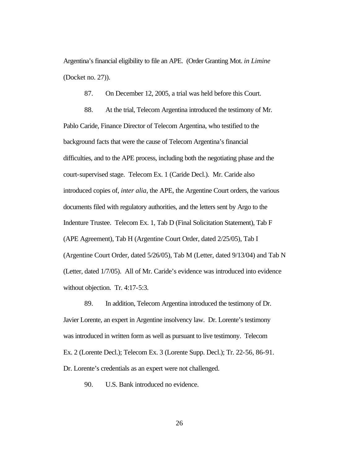Argentina's financial eligibility to file an APE. (Order Granting Mot. *in Limine* (Docket no. 27)).

87. On December 12, 2005, a trial was held before this Court.

88. At the trial, Telecom Argentina introduced the testimony of Mr. Pablo Caride, Finance Director of Telecom Argentina, who testified to the background facts that were the cause of Telecom Argentina's financial difficulties, and to the APE process, including both the negotiating phase and the court-supervised stage. Telecom Ex. 1 (Caride Decl.). Mr. Caride also introduced copies of, *inter alia*, the APE, the Argentine Court orders, the various documents filed with regulatory authorities, and the letters sent by Argo to the Indenture Trustee. Telecom Ex. 1, Tab D (Final Solicitation Statement), Tab F (APE Agreement), Tab H (Argentine Court Order, dated 2/25/05), Tab I (Argentine Court Order, dated 5/26/05), Tab M (Letter, dated 9/13/04) and Tab N (Letter, dated 1/7/05). All of Mr. Caride's evidence was introduced into evidence without objection. Tr. 4:17-5:3.

89. In addition, Telecom Argentina introduced the testimony of Dr. Javier Lorente, an expert in Argentine insolvency law. Dr. Lorente's testimony was introduced in written form as well as pursuant to live testimony. Telecom Ex. 2 (Lorente Decl.); Telecom Ex. 3 (Lorente Supp. Decl.); Tr. 22-56, 86-91. Dr. Lorente's credentials as an expert were not challenged.

90. U.S. Bank introduced no evidence.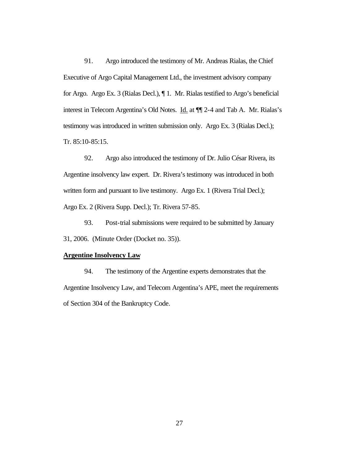91. Argo introduced the testimony of Mr. Andreas Rialas, the Chief Executive of Argo Capital Management Ltd., the investment advisory company for Argo. Argo Ex. 3 (Rialas Decl.), ¶ 1. Mr. Rialas testified to Argo's beneficial interest in Telecom Argentina's Old Notes. Id. at ¶¶ 2-4 and Tab A. Mr. Rialas's testimony was introduced in written submission only. Argo Ex. 3 (Rialas Decl.); Tr. 85:10-85:15.

92. Argo also introduced the testimony of Dr. Julio César Rivera, its Argentine insolvency law expert. Dr. Rivera's testimony was introduced in both written form and pursuant to live testimony. Argo Ex. 1 (Rivera Trial Decl.); Argo Ex. 2 (Rivera Supp. Decl.); Tr. Rivera 57-85.

93. Post-trial submissions were required to be submitted by January 31, 2006. (Minute Order (Docket no. 35)).

## **Argentine Insolvency Law**

94. The testimony of the Argentine experts demonstrates that the Argentine Insolvency Law, and Telecom Argentina's APE, meet the requirements of Section 304 of the Bankruptcy Code.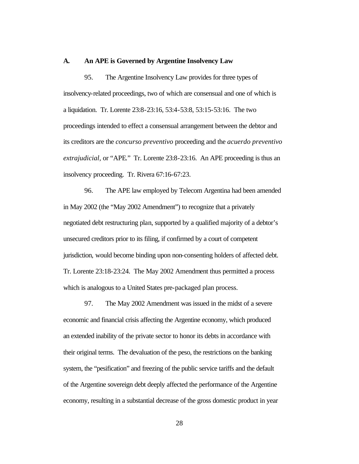#### **A. An APE is Governed by Argentine Insolvency Law**

95. The Argentine Insolvency Law provides for three types of insolvency-related proceedings, two of which are consensual and one of which is a liquidation. Tr. Lorente 23:8-23:16, 53:4-53:8, 53:15-53:16. The two proceedings intended to effect a consensual arrangement between the debtor and its creditors are the *concurso preventivo* proceeding and the *acuerdo preventivo extrajudicial,* or "APE*.*" Tr. Lorente 23:8-23:16. An APE proceeding is thus an insolvency proceeding. Tr. Rivera 67:16-67:23.

96. The APE law employed by Telecom Argentina had been amended in May 2002 (the "May 2002 Amendment") to recognize that a privately negotiated debt restructuring plan, supported by a qualified majority of a debtor's unsecured creditors prior to its filing, if confirmed by a court of competent jurisdiction, would become binding upon non-consenting holders of affected debt. Tr. Lorente 23:18-23:24. The May 2002 Amendment thus permitted a process which is analogous to a United States pre-packaged plan process.

97. The May 2002 Amendment was issued in the midst of a severe economic and financial crisis affecting the Argentine economy, which produced an extended inability of the private sector to honor its debts in accordance with their original terms. The devaluation of the peso, the restrictions on the banking system, the "pesification" and freezing of the public service tariffs and the default of the Argentine sovereign debt deeply affected the performance of the Argentine economy, resulting in a substantial decrease of the gross domestic product in year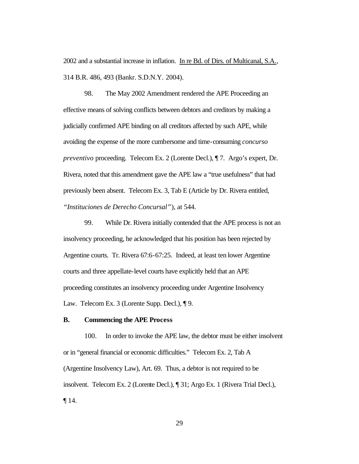2002 and a substantial increase in inflation. In re Bd. of Dirs. of Multicanal, S.A., 314 B.R. 486, 493 (Bankr. S.D.N.Y. 2004).

98. The May 2002 Amendment rendered the APE Proceeding an effective means of solving conflicts between debtors and creditors by making a judicially confirmed APE binding on all creditors affected by such APE, while avoiding the expense of the more cumbersome and time-consuming *concurso preventivo* proceeding. Telecom Ex. 2 (Lorente Decl.), ¶ 7. Argo's expert, Dr. Rivera, noted that this amendment gave the APE law a "true usefulness" that had previously been absent. Telecom Ex. 3, Tab E (Article by Dr. Rivera entitled, *"Instituciones de Derecho Concursal"*), at 544.

99. While Dr. Rivera initially contended that the APE process is not an insolvency proceeding, he acknowledged that his position has been rejected by Argentine courts. Tr. Rivera 67:6-67:25. Indeed, at least ten lower Argentine courts and three appellate-level courts have explicitly held that an APE proceeding constitutes an insolvency proceeding under Argentine Insolvency Law. Telecom Ex. 3 (Lorente Supp. Decl.), ¶ 9.

## **B. Commencing the APE Process**

100. In order to invoke the APE law, the debtor must be either insolvent or in "general financial or economic difficulties." Telecom Ex. 2, Tab A (Argentine Insolvency Law), Art. 69. Thus, a debtor is not required to be insolvent. Telecom Ex. 2 (Lorente Decl.), ¶ 31; Argo Ex. 1 (Rivera Trial Decl.), ¶ 14.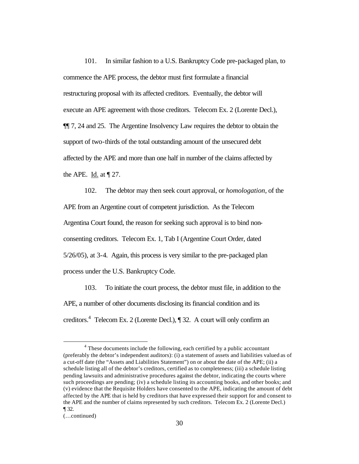101. In similar fashion to a U.S. Bankruptcy Code pre-packaged plan, to commence the APE process, the debtor must first formulate a financial restructuring proposal with its affected creditors. Eventually, the debtor will execute an APE agreement with those creditors. Telecom Ex. 2 (Lorente Decl.), ¶¶ 7, 24 and 25. The Argentine Insolvency Law requires the debtor to obtain the support of two-thirds of the total outstanding amount of the unsecured debt affected by the APE and more than one half in number of the claims affected by the APE. Id. at  $\P$  27.

102. The debtor may then seek court approval, or *homologation*, of the APE from an Argentine court of competent jurisdiction. As the Telecom Argentina Court found, the reason for seeking such approval is to bind nonconsenting creditors. Telecom Ex. 1, Tab I (Argentine Court Order, dated 5/26/05), at 3-4. Again, this process is very similar to the pre-packaged plan process under the U.S. Bankruptcy Code.

103. To initiate the court process, the debtor must file, in addition to the APE, a number of other documents disclosing its financial condition and its creditors.<sup>4</sup> Telecom Ex. 2 (Lorente Decl.), ¶ 32. A court will only confirm an

 $\overline{a}$ 

<sup>&</sup>lt;sup>4</sup> These documents include the following, each certified by a public accountant (preferably the debtor's independent auditors): (i) a statement of assets and liabilities valued as of a cut-off date (the "Assets and Liabilities Statement") on or about the date of the APE; (ii) a schedule listing all of the debtor's creditors, certified as to completeness; (iii) a schedule listing pending lawsuits and administrative procedures against the debtor, indicating the courts where such proceedings are pending; (iv) a schedule listing its accounting books, and other books; and (v) evidence that the Requisite Holders have consented to the APE, indicating the amount of debt affected by the APE that is held by creditors that have expressed their support for and consent to the APE and the number of claims represented by such creditors. Telecom Ex. 2 (Lorente Decl.) ¶ 32.

<sup>(…</sup>continued)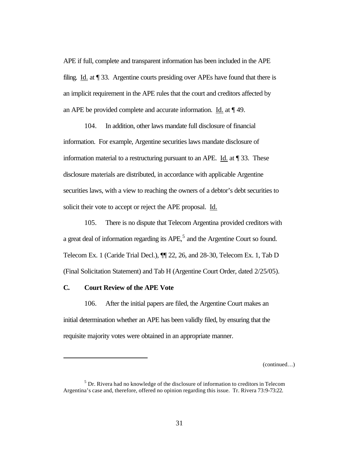APE if full, complete and transparent information has been included in the APE filing. Id. at ¶ 33. Argentine courts presiding over APEs have found that there is an implicit requirement in the APE rules that the court and creditors affected by an APE be provided complete and accurate information. Id. at ¶ 49.

104. In addition, other laws mandate full disclosure of financial information. For example, Argentine securities laws mandate disclosure of information material to a restructuring pursuant to an APE. Id. at ¶ 33. These disclosure materials are distributed, in accordance with applicable Argentine securities laws, with a view to reaching the owners of a debtor's debt securities to solicit their vote to accept or reject the APE proposal. Id.

105. There is no dispute that Telecom Argentina provided creditors with a great deal of information regarding its  $APE<sub>1</sub><sup>5</sup>$  and the Argentine Court so found. Telecom Ex. 1 (Caride Trial Decl.), ¶¶ 22, 26, and 28-30, Telecom Ex. 1, Tab D (Final Solicitation Statement) and Tab H (Argentine Court Order, dated 2/25/05).

# **C. Court Review of the APE Vote**

 $\overline{a}$ 

106. After the initial papers are filed, the Argentine Court makes an initial determination whether an APE has been validly filed, by ensuring that the requisite majority votes were obtained in an appropriate manner.

(continued…)

 $<sup>5</sup>$  Dr. Rivera had no knowledge of the disclosure of information to creditors in Telecom</sup> Argentina's case and, therefore, offered no opinion regarding this issue. Tr. Rivera 73:9-73:22.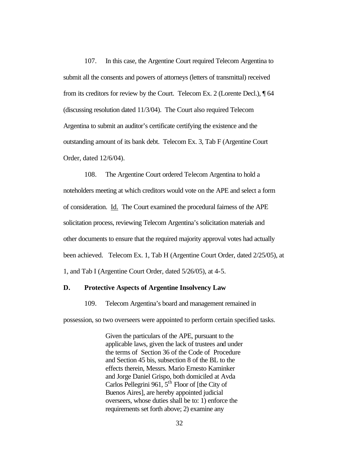107. In this case, the Argentine Court required Telecom Argentina to submit all the consents and powers of attorneys (letters of transmittal) received from its creditors for review by the Court. Telecom Ex. 2 (Lorente Decl.), ¶ 64 (discussing resolution dated 11/3/04). The Court also required Telecom Argentina to submit an auditor's certificate certifying the existence and the outstanding amount of its bank debt. Telecom Ex. 3, Tab F (Argentine Court Order, dated 12/6/04).

108. The Argentine Court ordered Telecom Argentina to hold a noteholders meeting at which creditors would vote on the APE and select a form of consideration. Id. The Court examined the procedural fairness of the APE solicitation process, reviewing Telecom Argentina's solicitation materials and other documents to ensure that the required majority approval votes had actually been achieved. Telecom Ex. 1, Tab H (Argentine Court Order, dated 2/25/05), at 1, and Tab I (Argentine Court Order, dated 5/26/05), at 4-5.

## **D. Protective Aspects of Argentine Insolvency Law**

109. Telecom Argentina's board and management remained in

possession, so two overseers were appointed to perform certain specified tasks.

Given the particulars of the APE, pursuant to the applicable laws, given the lack of trustees and under the terms of Section 36 of the Code of Procedure and Section 45 bis, subsection 8 of the BL to the effects therein, Messrs. Mario Ernesto Kaminker and Jorge Daniel Grispo, both domiciled at Avda Carlos Pellegrini 961,  $5<sup>th</sup>$  Floor of [the City of Buenos Aires], are hereby appointed judicial overseers, whose duties shall be to: 1) enforce the requirements set forth above; 2) examine any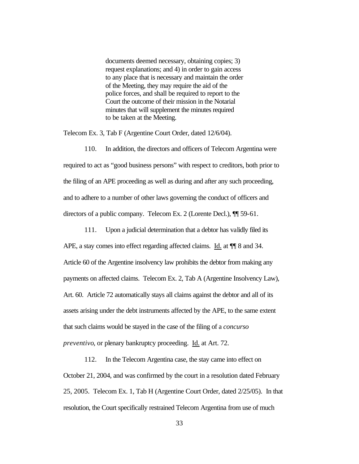documents deemed necessary, obtaining copies; 3) request explanations; and 4) in order to gain access to any place that is necessary and maintain the order of the Meeting, they may require the aid of the police forces, and shall be required to report to the Court the outcome of their mission in the Notarial minutes that will supplement the minutes required to be taken at the Meeting.

Telecom Ex. 3, Tab F (Argentine Court Order, dated 12/6/04).

110. In addition, the directors and officers of Telecom Argentina were required to act as "good business persons" with respect to creditors, both prior to the filing of an APE proceeding as well as during and after any such proceeding, and to adhere to a number of other laws governing the conduct of officers and directors of a public company. Telecom Ex. 2 (Lorente Decl.), ¶¶ 59-61.

111. Upon a judicial determination that a debtor has validly filed its

APE, a stay comes into effect regarding affected claims. Id. at  $\P$  8 and 34. Article 60 of the Argentine insolvency law prohibits the debtor from making any payments on affected claims. Telecom Ex. 2, Tab A (Argentine Insolvency Law), Art. 60. Article 72 automatically stays all claims against the debtor and all of its assets arising under the debt instruments affected by the APE, to the same extent that such claims would be stayed in the case of the filing of a *concurso preventivo*, or plenary bankruptcy proceeding. Id. at Art. 72.

112. In the Telecom Argentina case, the stay came into effect on October 21, 2004, and was confirmed by the court in a resolution dated February 25, 2005. Telecom Ex. 1, Tab H (Argentine Court Order, dated 2/25/05). In that resolution, the Court specifically restrained Telecom Argentina from use of much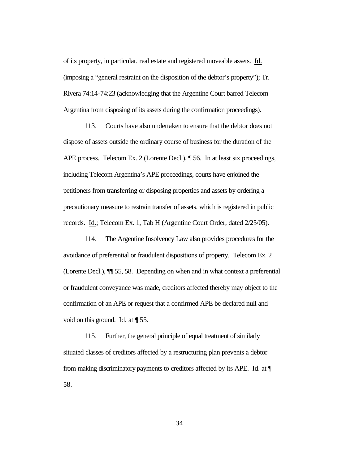of its property, in particular, real estate and registered moveable assets. Id. (imposing a "general restraint on the disposition of the debtor's property"); Tr. Rivera 74:14-74:23 (acknowledging that the Argentine Court barred Telecom Argentina from disposing of its assets during the confirmation proceedings).

113. Courts have also undertaken to ensure that the debtor does not dispose of assets outside the ordinary course of business for the duration of the APE process. Telecom Ex. 2 (Lorente Decl.), ¶ 56. In at least six proceedings, including Telecom Argentina's APE proceedings, courts have enjoined the petitioners from transferring or disposing properties and assets by ordering a precautionary measure to restrain transfer of assets, which is registered in public records. Id.; Telecom Ex. 1, Tab H (Argentine Court Order, dated 2/25/05).

114. The Argentine Insolvency Law also provides procedures for the avoidance of preferential or fraudulent dispositions of property. Telecom Ex. 2 (Lorente Decl.), ¶¶ 55, 58. Depending on when and in what context a preferential or fraudulent conveyance was made, creditors affected thereby may object to the confirmation of an APE or request that a confirmed APE be declared null and void on this ground. Id. at ¶ 55.

115. Further, the general principle of equal treatment of similarly situated classes of creditors affected by a restructuring plan prevents a debtor from making discriminatory payments to creditors affected by its APE. Id. at ¶ 58.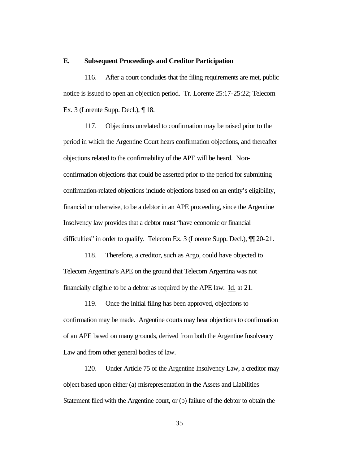#### **E. Subsequent Proceedings and Creditor Participation**

116. After a court concludes that the filing requirements are met, public notice is issued to open an objection period. Tr. Lorente 25:17-25:22; Telecom Ex. 3 (Lorente Supp. Decl.), ¶ 18.

117. Objections unrelated to confirmation may be raised prior to the period in which the Argentine Court hears confirmation objections, and thereafter objections related to the confirmability of the APE will be heard. Nonconfirmation objections that could be asserted prior to the period for submitting confirmation-related objections include objections based on an entity's eligibility, financial or otherwise, to be a debtor in an APE proceeding, since the Argentine Insolvency law provides that a debtor must "have economic or financial difficulties" in order to qualify. Telecom Ex. 3 (Lorente Supp. Decl.), ¶¶ 20-21.

118. Therefore, a creditor, such as Argo, could have objected to Telecom Argentina's APE on the ground that Telecom Argentina was not financially eligible to be a debtor as required by the APE law. Id. at 21.

119. Once the initial filing has been approved, objections to confirmation may be made. Argentine courts may hear objections to confirmation of an APE based on many grounds, derived from both the Argentine Insolvency Law and from other general bodies of law.

120. Under Article 75 of the Argentine Insolvency Law, a creditor may object based upon either (a) misrepresentation in the Assets and Liabilities Statement filed with the Argentine court, or (b) failure of the debtor to obtain the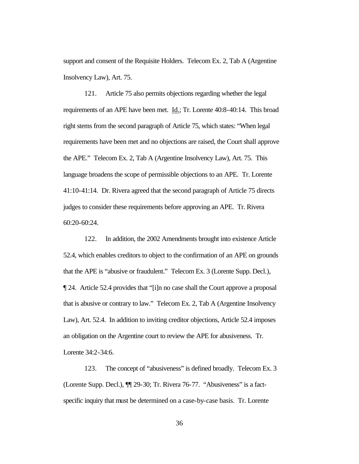support and consent of the Requisite Holders. Telecom Ex. 2, Tab A (Argentine Insolvency Law), Art. 75.

121. Article 75 also permits objections regarding whether the legal requirements of an APE have been met. Id.; Tr. Lorente 40:8-40:14. This broad right stems from the second paragraph of Article 75, which states: "When legal requirements have been met and no objections are raised, the Court shall approve the APE." Telecom Ex. 2, Tab A (Argentine Insolvency Law), Art. 75. This language broadens the scope of permissible objections to an APE. Tr. Lorente 41:10-41:14. Dr. Rivera agreed that the second paragraph of Article 75 directs judges to consider these requirements before approving an APE. Tr. Rivera 60:20-60:24.

122. In addition, the 2002 Amendments brought into existence Article 52.4, which enables creditors to object to the confirmation of an APE on grounds that the APE is "abusive or fraudulent." Telecom Ex. 3 (Lorente Supp. Decl.), ¶ 24. Article 52.4 provides that "[i]n no case shall the Court approve a proposal that is abusive or contrary to law." Telecom Ex. 2, Tab A (Argentine Insolvency Law), Art. 52.4. In addition to inviting creditor objections, Article 52.4 imposes an obligation on the Argentine court to review the APE for abusiveness. Tr. Lorente 34:2-34:6.

123. The concept of "abusiveness" is defined broadly. Telecom Ex. 3 (Lorente Supp. Decl.), ¶¶ 29-30; Tr. Rivera 76-77. "Abusiveness" is a factspecific inquiry that must be determined on a case-by-case basis. Tr. Lorente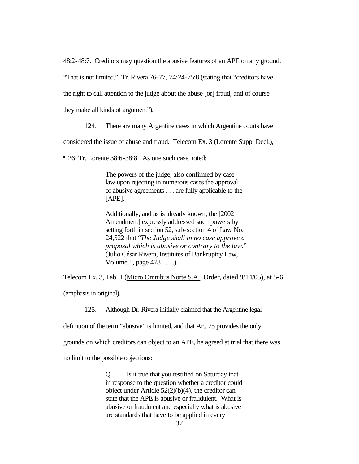48:2-48:7. Creditors may question the abusive features of an APE on any ground.

"That is not limited." Tr. Rivera 76-77, 74:24-75:8 (stating that "creditors have

the right to call attention to the judge about the abuse [or] fraud, and of course

they make all kinds of argument").

124. There are many Argentine cases in which Argentine courts have

considered the issue of abuse and fraud. Telecom Ex. 3 (Lorente Supp. Decl.),

¶ 26; Tr. Lorente 38:6-38:8. As one such case noted:

The powers of the judge, also confirmed by case law upon rejecting in numerous cases the approval of abusive agreements . . . are fully applicable to the [APE].

Additionally, and as is already known, the [2002 Amendment] expressly addressed such powers by setting forth in section 52, sub-section 4 of Law No. 24,522 that "*The Judge shall in no case approve a proposal which is abusive or contrary to the law.*" (Julio César Rivera, Institutes of Bankruptcy Law, Volume 1, page 478 . . . .).

Telecom Ex. 3, Tab H (Micro Omnibus Norte S.A., Order, dated 9/14/05), at 5-6

(emphasis in original).

125. Although Dr. Rivera initially claimed that the Argentine legal

definition of the term "abusive" is limited, and that Art. 75 provides the only

grounds on which creditors can object to an APE, he agreed at trial that there was

no limit to the possible objections:

Q Is it true that you testified on Saturday that in response to the question whether a creditor could object under Article 52(2)(b)(4), the creditor can state that the APE is abusive or fraudulent. What is abusive or fraudulent and especially what is abusive are standards that have to be applied in every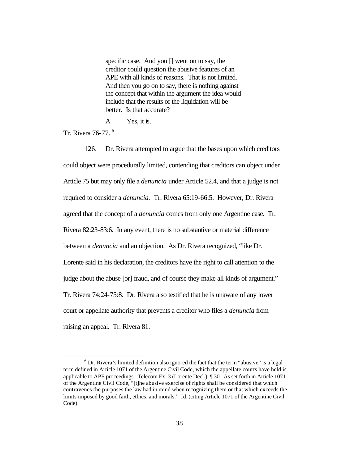specific case. And you [] went on to say, the creditor could question the abusive features of an APE with all kinds of reasons. That is not limited. And then you go on to say, there is nothing against the concept that within the argument the idea would include that the results of the liquidation will be better. Is that accurate?

A Yes, it is.

Tr. Rivera 76-77. <sup>6</sup>

 $\overline{a}$ 

126. Dr. Rivera attempted to argue that the bases upon which creditors could object were procedurally limited, contending that creditors can object under Article 75 but may only file a *denuncia* under Article 52.4, and that a judge is not required to consider a *denuncia.* Tr. Rivera 65:19-66:5. However, Dr. Rivera agreed that the concept of a *denuncia* comes from only one Argentine case. Tr. Rivera 82:23-83:6. In any event, there is no substantive or material difference between a *denuncia* and an objection. As Dr. Rivera recognized, "like Dr. Lorente said in his declaration, the creditors have the right to call attention to the judge about the abuse [or] fraud, and of course they make all kinds of argument." Tr. Rivera 74:24-75:8. Dr. Rivera also testified that he is unaware of any lower court or appellate authority that prevents a creditor who files a *denuncia* from raising an appeal. Tr. Rivera 81.

 $6$  Dr. Rivera's limited definition also ignored the fact that the term "abusive" is a legal term defined in Article 1071 of the Argentine Civil Code, which the appellate courts have held is applicable to APE proceedings. Telecom Ex. 3 (Lorente Decl.), ¶ 30. As set forth in Article 1071 of the Argentine Civil Code, "[t]he abusive exercise of rights shall be considered that which contravenes the purposes the law had in mind when recognizing them or that which exceeds the limits imposed by good faith, ethics, and morals." Id. (citing Article 1071 of the Argentine Civil Code).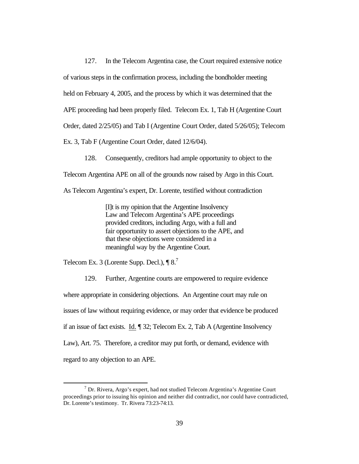127. In the Telecom Argentina case, the Court required extensive notice of various steps in the confirmation process, including the bondholder meeting held on February 4, 2005, and the process by which it was determined that the APE proceeding had been properly filed. Telecom Ex. 1, Tab H (Argentine Court Order, dated 2/25/05) and Tab I (Argentine Court Order, dated 5/26/05); Telecom Ex. 3, Tab F (Argentine Court Order, dated 12/6/04).

128. Consequently, creditors had ample opportunity to object to the Telecom Argentina APE on all of the grounds now raised by Argo in this Court.

As Telecom Argentina's expert, Dr. Lorente, testified without contradiction

[I]t is my opinion that the Argentine Insolvency Law and Telecom Argentina's APE proceedings provided creditors, including Argo, with a full and fair opportunity to assert objections to the APE, and that these objections were considered in a meaningful way by the Argentine Court.

Telecom Ex. 3 (Lorente Supp. Decl.),  $\P 8$ <sup>7</sup>

 $\overline{a}$ 

129. Further, Argentine courts are empowered to require evidence where appropriate in considering objections. An Argentine court may rule on issues of law without requiring evidence, or may order that evidence be produced if an issue of fact exists. Id. ¶ 32; Telecom Ex. 2, Tab A (Argentine Insolvency Law), Art. 75. Therefore, a creditor may put forth, or demand, evidence with regard to any objection to an APE.

 $^7$  Dr. Rivera, Argo's expert, had not studied Telecom Argentina's Argentine Court proceedings prior to issuing his opinion and neither did contradict, nor could have contradicted, Dr. Lorente's testimony. Tr. Rivera 73:23-74:13.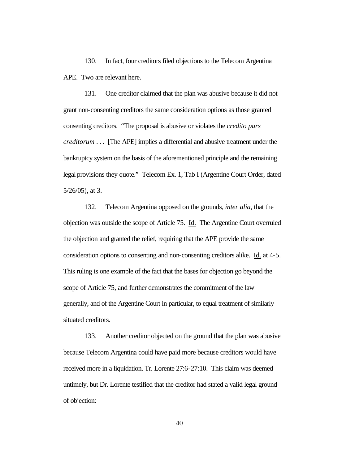130. In fact, four creditors filed objections to the Telecom Argentina APE. Two are relevant here.

131. One creditor claimed that the plan was abusive because it did not grant non-consenting creditors the same consideration options as those granted consenting creditors. "The proposal is abusive or violates the *credito pars creditorum* . . . [The APE] implies a differential and abusive treatment under the bankruptcy system on the basis of the aforementioned principle and the remaining legal provisions they quote." Telecom Ex. 1, Tab I (Argentine Court Order, dated 5/26/05), at 3.

132. Telecom Argentina opposed on the grounds, *inter alia*, that the objection was outside the scope of Article 75. Id. The Argentine Court overruled the objection and granted the relief, requiring that the APE provide the same consideration options to consenting and non-consenting creditors alike. Id. at 4-5. This ruling is one example of the fact that the bases for objection go beyond the scope of Article 75, and further demonstrates the commitment of the law generally, and of the Argentine Court in particular, to equal treatment of similarly situated creditors.

133. Another creditor objected on the ground that the plan was abusive because Telecom Argentina could have paid more because creditors would have received more in a liquidation. Tr. Lorente 27:6-27:10. This claim was deemed untimely, but Dr. Lorente testified that the creditor had stated a valid legal ground of objection: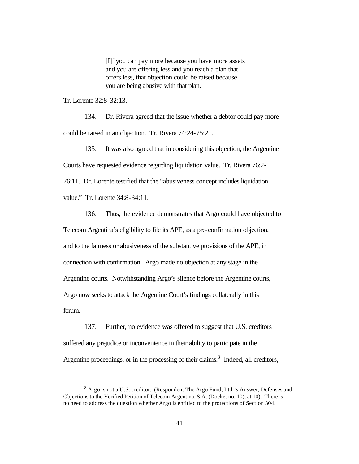[I]f you can pay more because you have more assets and you are offering less and you reach a plan that offers less, that objection could be raised because you are being abusive with that plan.

Tr. Lorente 32:8-32:13.

134. Dr. Rivera agreed that the issue whether a debtor could pay more could be raised in an objection. Tr. Rivera 74:24-75:21.

135. It was also agreed that in considering this objection, the Argentine Courts have requested evidence regarding liquidation value. Tr. Rivera 76:2- 76:11. Dr. Lorente testified that the "abusiveness concept includes liquidation

value." Tr. Lorente 34:8-34:11.

 $\overline{a}$ 

136. Thus, the evidence demonstrates that Argo could have objected to Telecom Argentina's eligibility to file its APE, as a pre-confirmation objection, and to the fairness or abusiveness of the substantive provisions of the APE, in connection with confirmation. Argo made no objection at any stage in the Argentine courts. Notwithstanding Argo's silence before the Argentine courts, Argo now seeks to attack the Argentine Court's findings collaterally in this forum.

137. Further, no evidence was offered to suggest that U.S. creditors suffered any prejudice or inconvenience in their ability to participate in the Argentine proceedings, or in the processing of their claims.<sup>8</sup> Indeed, all creditors,

<sup>&</sup>lt;sup>8</sup> Argo is not a U.S. creditor. (Respondent The Argo Fund, Ltd.'s Answer, Defenses and Objections to the Verified Petition of Telecom Argentina, S.A. (Docket no. 10), at 10). There is no need to address the question whether Argo is entitled to the protections of Section 304.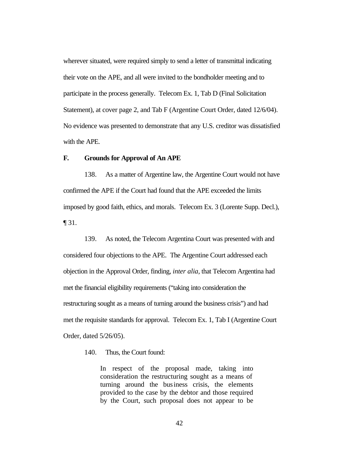wherever situated, were required simply to send a letter of transmittal indicating their vote on the APE, and all were invited to the bondholder meeting and to participate in the process generally. Telecom Ex. 1, Tab D (Final Solicitation Statement), at cover page 2, and Tab F (Argentine Court Order, dated 12/6/04). No evidence was presented to demonstrate that any U.S. creditor was dissatisfied with the APE.

# **F. Grounds for Approval of An APE**

138. As a matter of Argentine law, the Argentine Court would not have confirmed the APE if the Court had found that the APE exceeded the limits imposed by good faith, ethics, and morals. Telecom Ex. 3 (Lorente Supp. Decl.), ¶ 31.

139. As noted, the Telecom Argentina Court was presented with and considered four objections to the APE. The Argentine Court addressed each objection in the Approval Order, finding, *inter alia*, that Telecom Argentina had met the financial eligibility requirements ("taking into consideration the restructuring sought as a means of turning around the business crisis") and had met the requisite standards for approval. Telecom Ex. 1, Tab I (Argentine Court Order, dated 5/26/05).

140. Thus, the Court found:

In respect of the proposal made, taking into consideration the restructuring sought as a means of turning around the business crisis, the elements provided to the case by the debtor and those required by the Court, such proposal does not appear to be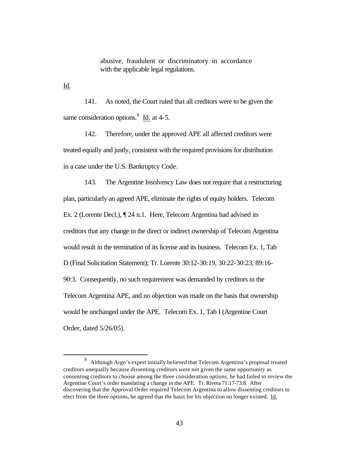abusive, fraudulent or discriminatory in accordance with the applicable legal regulations.

Id.

 $\overline{a}$ 

141. As noted, the Court ruled that all creditors were to be given the same consideration options.  $\frac{9}{1}$  Id. at 4-5.

142. Therefore, under the approved APE all affected creditors were treated equally and justly, consistent with the required provisions for distribution in a case under the U.S. Bankruptcy Code.

143. The Argentine Insolvency Law does not require that a restructuring plan, particularly an agreed APE, eliminate the rights of equity holders. Telecom Ex. 2 (Lorente Decl.), ¶ 24 n.1. Here, Telecom Argentina had advised its creditors that any change in the direct or indirect ownership of Telecom Argentina would result in the termination of its license and its business. Telecom Ex. 1, Tab D (Final Solicitation Statement); Tr. Lorente 30:12-30:19, 30:22-30:23, 89:16- 90:3. Consequently, no such requirement was demanded by creditors in the Telecom Argentina APE, and no objection was made on the basis that ownership would be unchanged under the APE. Telecom Ex. 1, Tab I (Argentine Court Order, dated 5/26/05).

<sup>9</sup> Although Argo's expert initially believed that Telecom Argentina's proposal treated creditors unequally because dissenting creditors were not given the same opportunity as consenting creditors to choose among the three consideration options, he had failed to review the Argentine Court's order mandating a change in the APE. Tr. Rivera 71:17-73:8. After discovering that the Approval Order required Telecom Argentina to allow dissenting creditors to elect from the three options, he agreed that the basis for his objection no longer existed. Id.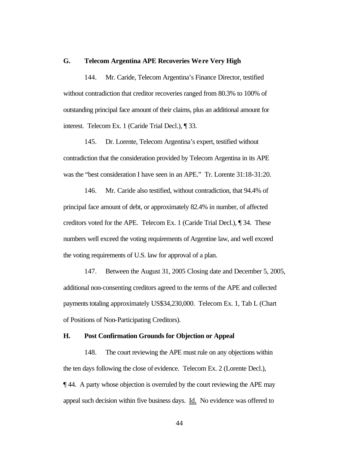#### **G. Telecom Argentina APE Recoveries We re Very High**

144. Mr. Caride, Telecom Argentina's Finance Director, testified without contradiction that creditor recoveries ranged from 80.3% to 100% of outstanding principal face amount of their claims, plus an additional amount for interest. Telecom Ex. 1 (Caride Trial Decl.), ¶ 33.

145. Dr. Lorente, Telecom Argentina's expert, testified without contradiction that the consideration provided by Telecom Argentina in its APE was the "best consideration I have seen in an APE." Tr. Lorente 31:18-31:20.

146. Mr. Caride also testified, without contradiction, that 94.4% of principal face amount of debt, or approximately 82.4% in number, of affected creditors voted for the APE. Telecom Ex. 1 (Caride Trial Decl.), ¶ 34. These numbers well exceed the voting requirements of Argentine law, and well exceed the voting requirements of U.S. law for approval of a plan.

147. Between the August 31, 2005 Closing date and December 5, 2005, additional non-consenting creditors agreed to the terms of the APE and collected payments totaling approximately US\$34,230,000. Telecom Ex. 1, Tab L (Chart of Positions of Non-Participating Creditors).

## **H. Post Confirmation Grounds for Objection or Appeal**

148. The court reviewing the APE must rule on any objections within the ten days following the close of evidence. Telecom Ex. 2 (Lorente Decl.), ¶ 44. A party whose objection is overruled by the court reviewing the APE may appeal such decision within five business days. Id. No evidence was offered to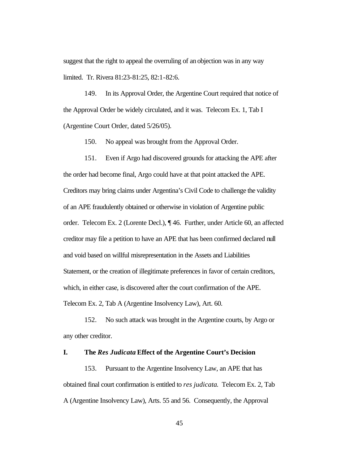suggest that the right to appeal the overruling of an objection was in any way limited. Tr. Rivera 81:23-81:25, 82:1-82:6.

149. In its Approval Order, the Argentine Court required that notice of the Approval Order be widely circulated, and it was. Telecom Ex. 1, Tab I (Argentine Court Order, dated 5/26/05).

150. No appeal was brought from the Approval Order.

151. Even if Argo had discovered grounds for attacking the APE after the order had become final, Argo could have at that point attacked the APE. Creditors may bring claims under Argentina's Civil Code to challenge the validity of an APE fraudulently obtained or otherwise in violation of Argentine public order. Telecom Ex. 2 (Lorente Decl.), ¶ 46. Further, under Article 60, an affected creditor may file a petition to have an APE that has been confirmed declared null and void based on willful misrepresentation in the Assets and Liabilities Statement, or the creation of illegitimate preferences in favor of certain creditors, which, in either case, is discovered after the court confirmation of the APE. Telecom Ex. 2, Tab A (Argentine Insolvency Law), Art. 60.

152. No such attack was brought in the Argentine courts, by Argo or any other creditor.

# **I. The** *Res Judicata* **Effect of the Argentine Court's Decision**

153. Pursuant to the Argentine Insolvency Law, an APE that has obtained final court confirmation is entitled to *res judicata*. Telecom Ex. 2, Tab A (Argentine Insolvency Law), Arts. 55 and 56. Consequently, the Approval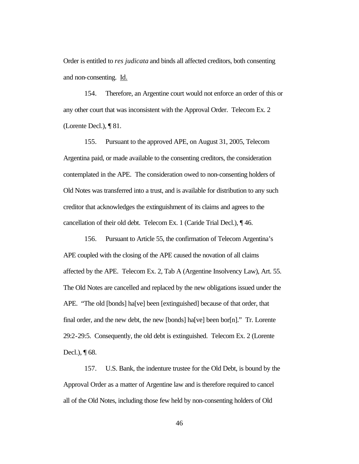Order is entitled to *res judicata* and binds all affected creditors, both consenting and non-consenting. Id.

154. Therefore, an Argentine court would not enforce an order of this or any other court that was inconsistent with the Approval Order. Telecom Ex. 2 (Lorente Decl.), ¶ 81.

155. Pursuant to the approved APE, on August 31, 2005, Telecom Argentina paid, or made available to the consenting creditors, the consideration contemplated in the APE. The consideration owed to non-consenting holders of Old Notes was transferred into a trust, and is available for distribution to any such creditor that acknowledges the extinguishment of its claims and agrees to the cancellation of their old debt. Telecom Ex. 1 (Caride Trial Decl.), ¶ 46.

156. Pursuant to Article 55, the confirmation of Telecom Argentina's APE coupled with the closing of the APE caused the novation of all claims affected by the APE. Telecom Ex. 2, Tab A (Argentine Insolvency Law), Art. 55. The Old Notes are cancelled and replaced by the new obligations issued under the APE. "The old [bonds] ha[ve] been [extinguished] because of that order, that final order, and the new debt, the new [bonds] ha[ve] been bor[n]." Tr. Lorente 29:2-29:5. Consequently, the old debt is extinguished. Telecom Ex. 2 (Lorente Decl.), ¶ 68.

157. U.S. Bank, the indenture trustee for the Old Debt, is bound by the Approval Order as a matter of Argentine law and is therefore required to cancel all of the Old Notes, including those few held by non-consenting holders of Old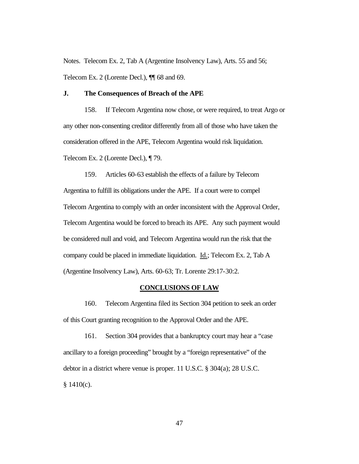Notes. Telecom Ex. 2, Tab A (Argentine Insolvency Law), Arts. 55 and 56; Telecom Ex. 2 (Lorente Decl.), ¶¶ 68 and 69.

# **J. The Consequences of Breach of the APE**

158. If Telecom Argentina now chose, or were required, to treat Argo or any other non-consenting creditor differently from all of those who have taken the consideration offered in the APE, Telecom Argentina would risk liquidation. Telecom Ex. 2 (Lorente Decl.), ¶ 79.

159. Articles 60-63 establish the effects of a failure by Telecom Argentina to fulfill its obligations under the APE. If a court were to compel Telecom Argentina to comply with an order inconsistent with the Approval Order, Telecom Argentina would be forced to breach its APE. Any such payment would be considered null and void, and Telecom Argentina would run the risk that the company could be placed in immediate liquidation. Id.; Telecom Ex. 2, Tab A (Argentine Insolvency Law), Arts. 60-63; Tr. Lorente 29:17-30:2.

#### **CONCLUSIONS OF LAW**

160. Telecom Argentina filed its Section 304 petition to seek an order of this Court granting recognition to the Approval Order and the APE.

161. Section 304 provides that a bankruptcy court may hear a "case ancillary to a foreign proceeding" brought by a "foreign representative" of the debtor in a district where venue is proper. 11 U.S.C. § 304(a); 28 U.S.C.  $§ 1410(c).$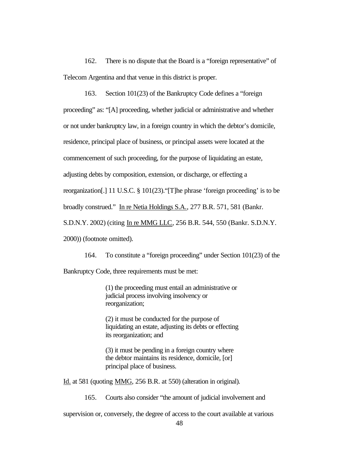162. There is no dispute that the Board is a "foreign representative" of Telecom Argentina and that venue in this district is proper.

163. Section 101(23) of the Bankruptcy Code defines a "foreign proceeding" as: "[A] proceeding, whether judicial or administrative and whether or not under bankruptcy law, in a foreign country in which the debtor's domicile, residence, principal place of business, or principal assets were located at the commencement of such proceeding, for the purpose of liquidating an estate, adjusting debts by composition, extension, or discharge, or effecting a reorganization[.] 11 U.S.C. § 101(23)."[T]he phrase 'foreign proceeding' is to be broadly construed." In re Netia Holdings S.A., 277 B.R. 571, 581 (Bankr. S.D.N.Y. 2002) (citing In re MMG LLC, 256 B.R. 544, 550 (Bankr. S.D.N.Y.

2000)) (footnote omitted).

164. To constitute a "foreign proceeding" under Section 101(23) of the

Bankruptcy Code, three requirements must be met:

(1) the proceeding must entail an administrative or judicial process involving insolvency or reorganization;

(2) it must be conducted for the purpose of liquidating an estate, adjusting its debts or effecting its reorganization; and

(3) it must be pending in a foreign country where the debtor maintains its residence, domicile, [or] principal place of business.

Id. at 581 (quoting MMG, 256 B.R. at 550) (alteration in original).

165. Courts also consider "the amount of judicial involvement and

supervision or, conversely, the degree of access to the court available at various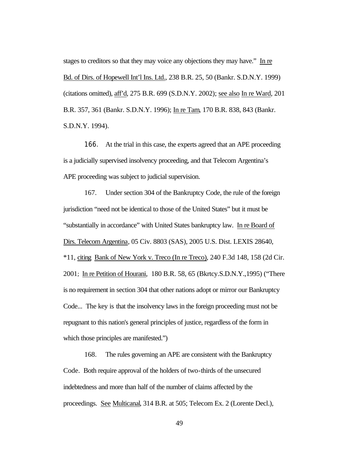stages to creditors so that they may voice any objections they may have." In re Bd. of Dirs. of Hopewell Int'l Ins. Ltd., 238 B.R. 25, 50 (Bankr. S.D.N.Y. 1999) (citations omitted), aff'd, 275 B.R. 699 (S.D.N.Y. 2002); see also In re Ward, 201 B.R. 357, 361 (Bankr. S.D.N.Y. 1996); In re Tam, 170 B.R. 838, 843 (Bankr. S.D.N.Y. 1994).

166. At the trial in this case, the experts agreed that an APE proceeding is a judicially supervised insolvency proceeding, and that Telecom Argentina's APE proceeding was subject to judicial supervision.

167. Under section 304 of the Bankruptcy Code, the rule of the foreign jurisdiction "need not be identical to those of the United States" but it must be "substantially in accordance" with United States bankruptcy law. In re Board of Dirs. Telecom Argentina, 05 Civ. 8803 (SAS), 2005 U.S. Dist. LEXIS 28640, \*11, citing Bank of New York v. Treco (In re Treco), 240 F.3d 148, 158 (2d Cir. 2001; In re Petition of Hourani, 180 B.R. 58, 65 (Bkrtcy.S.D.N.Y.,1995) ("There is no requirement in section 304 that other nations adopt or mirror our Bankruptcy Code... The key is that the insolvency laws in the foreign proceeding must not be repugnant to this nation's general principles of justice, regardless of the form in which those principles are manifested.")

168. The rules governing an APE are consistent with the Bankruptcy Code. Both require approval of the holders of two-thirds of the unsecured indebtedness and more than half of the number of claims affected by the proceedings. See Multicanal, 314 B.R. at 505; Telecom Ex. 2 (Lorente Decl.),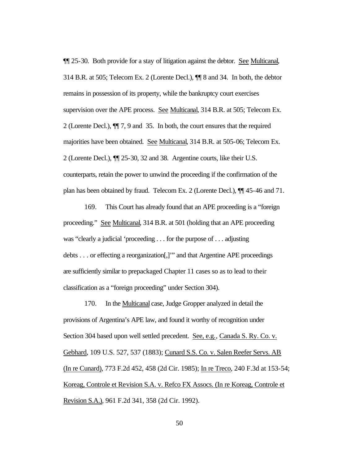¶¶ 25-30. Both provide for a stay of litigation against the debtor. See Multicanal, 314 B.R. at 505; Telecom Ex. 2 (Lorente Decl.), ¶¶ 8 and 34. In both, the debtor remains in possession of its property, while the bankruptcy court exercises supervision over the APE process. See Multicanal, 314 B.R. at 505; Telecom Ex. 2 (Lorente Decl.), ¶¶ 7, 9 and 35. In both, the court ensures that the required majorities have been obtained. See Multicanal, 314 B.R. at 505-06; Telecom Ex. 2 (Lorente Decl.), ¶¶ 25-30, 32 and 38. Argentine courts, like their U.S. counterparts, retain the power to unwind the proceeding if the confirmation of the plan has been obtained by fraud. Telecom Ex. 2 (Lorente Decl.), ¶¶ 45-46 and 71.

169. This Court has already found that an APE proceeding is a "foreign proceeding." See Multicanal, 314 B.R. at 501 (holding that an APE proceeding was "clearly a judicial 'proceeding . . . for the purpose of . . . adjusting debts . . . or effecting a reorganization[,]'" and that Argentine APE proceedings are sufficiently similar to prepackaged Chapter 11 cases so as to lead to their classification as a "foreign proceeding" under Section 304).

170. In the Multicanal case, Judge Gropper analyzed in detail the provisions of Argentina's APE law, and found it worthy of recognition under Section 304 based upon well settled precedent. See, e.g., Canada S. Ry. Co. v. Gebhard, 109 U.S. 527, 537 (1883); Cunard S.S. Co. v. Salen Reefer Servs. AB (In re Cunard), 773 F.2d 452, 458 (2d Cir. 1985); In re Treco, 240 F.3d at 153-54; Koreag, Controle et Revision S.A. v. Refco FX Assocs. (In re Koreag, Controle et Revision S.A.), 961 F.2d 341, 358 (2d Cir. 1992).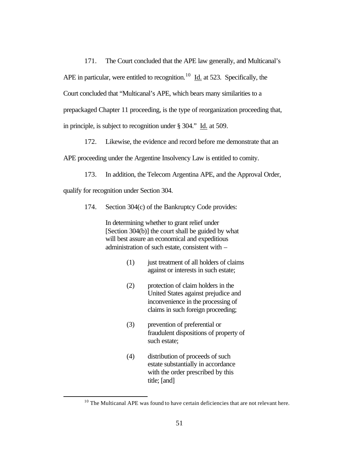171. The Court concluded that the APE law generally, and Multicanal's APE in particular, were entitled to recognition.<sup>10</sup> Id. at 523. Specifically, the Court concluded that "Multicanal's APE, which bears many similarities to a prepackaged Chapter 11 proceeding, is the type of reorganization proceeding that, in principle, is subject to recognition under § 304." Id. at 509.

172. Likewise, the evidence and record before me demonstrate that an

APE proceeding under the Argentine Insolvency Law is entitled to comity.

173. In addition, the Telecom Argentina APE, and the Approval Order,

qualify for recognition under Section 304.

 $\overline{a}$ 

174. Section 304(c) of the Bankruptcy Code provides:

In determining whether to grant relief under [Section 304(b)] the court shall be guided by what will best assure an economical and expeditious administration of such estate, consistent with –

- (1) just treatment of all holders of claims against or interests in such estate;
- (2) protection of claim holders in the United States against prejudice and inconvenience in the processing of claims in such foreign proceeding;
- (3) prevention of preferential or fraudulent dispositions of property of such estate;
- (4) distribution of proceeds of such estate substantially in accordance with the order prescribed by this title; [and]

 $10$  The Multicanal APE was found to have certain deficiencies that are not relevant here.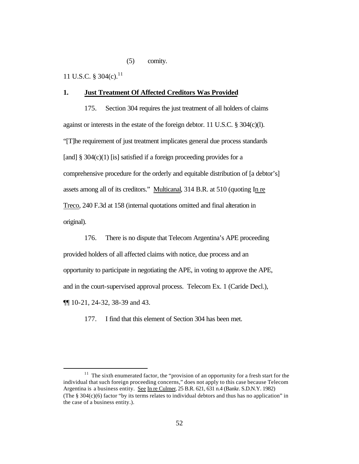# (5) comity.

11 U.S.C. § 304(c).<sup>11</sup>

 $\overline{a}$ 

#### **1. Just Treatment Of Affected Creditors Was Provided**

175. Section 304 requires the just treatment of all holders of claims against or interests in the estate of the foreign debtor. 11 U.S.C. § 304(c)(l). "[T]he requirement of just treatment implicates general due process standards [and]  $\S$  304(c)(1) [is] satisfied if a foreign proceeding provides for a comprehensive procedure for the orderly and equitable distribution of [a debtor's] assets among all of its creditors." Multicanal, 314 B.R. at 510 (quoting In re Treco, 240 F.3d at 158 (internal quotations omitted and final alteration in original).

176. There is no dispute that Telecom Argentina's APE proceeding provided holders of all affected claims with notice, due process and an opportunity to participate in negotiating the APE, in voting to approve the APE, and in the court-supervised approval process. Telecom Ex. 1 (Caride Decl.), ¶¶ 10-21, 24-32, 38-39 and 43.

177. I find that this element of Section 304 has been met.

<sup>&</sup>lt;sup>11</sup> The sixth enumerated factor, the "provision of an opportunity for a fresh start for the individual that such foreign proceeding concerns," does not apply to this case because Telecom Argentina is a business entity. See In re Culmer, 25 B.R. 621, 631 n.4 (Bankr. S.D.N.Y. 1982) (The § 304(c)(6) factor "by its terms relates to individual debtors and thus has no application" in the case of a business entity.).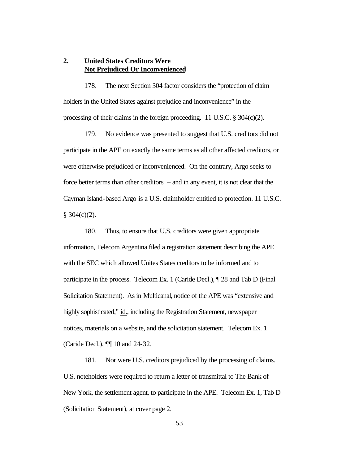# **2. United States Creditors Were Not Prejudiced Or Inconvenienced**

178. The next Section 304 factor considers the "protection of claim holders in the United States against prejudice and inconvenience" in the processing of their claims in the foreign proceeding. 11 U.S.C. § 304(c)(2).

179. No evidence was presented to suggest that U.S. creditors did not participate in the APE on exactly the same terms as all other affected creditors, or were otherwise prejudiced or inconvenienced. On the contrary, Argo seeks to force better terms than other creditors – and in any event, it is not clear that the Cayman Island-based Argo is a U.S. claimholder entitled to protection. 11 U.S.C.  $§ 304(c)(2).$ 

180. Thus, to ensure that U.S. creditors were given appropriate information, Telecom Argentina filed a registration statement describing the APE with the SEC which allowed Unites States creditors to be informed and to participate in the process. Telecom Ex. 1 (Caride Decl.), ¶ 28 and Tab D (Final Solicitation Statement). As in Multicanal, notice of the APE was "extensive and highly sophisticated," id., including the Registration Statement, newspaper notices, materials on a website, and the solicitation statement. Telecom Ex. 1 (Caride Decl.), ¶¶ 10 and 24-32.

181. Nor were U.S. creditors prejudiced by the processing of claims. U.S. noteholders were required to return a letter of transmittal to The Bank of New York, the settlement agent, to participate in the APE. Telecom Ex. 1, Tab D (Solicitation Statement), at cover page 2.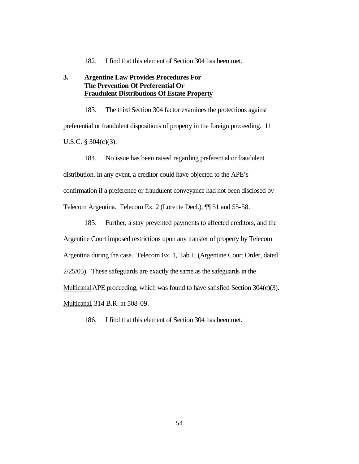182. I find that this element of Section 304 has been met.

# **3. Argentine Law Provides Procedures For The Prevention Of Preferential Or Fraudulent Distributions Of Estate Property**

183. The third Section 304 factor examines the protections against preferential or fraudulent dispositions of property in the foreign proceeding. 11 U.S.C. § 304(c)(3).

184. No issue has been raised regarding preferential or fraudulent

distribution. In any event, a creditor could have objected to the APE's

confirmation if a preference or fraudulent conveyance had not been disclosed by

Telecom Argentina. Telecom Ex. 2 (Lorente Decl.), ¶¶ 51 and 55-58.

185. Further, a stay prevented payments to affected creditors, and the

Argentine Court imposed restrictions upon any transfer of property by Telecom

Argentina during the case. Telecom Ex. 1, Tab H (Argentine Court Order, dated

2/25/05). These safeguards are exactly the same as the safeguards in the

Multicanal APE proceeding, which was found to have satisfied Section 304(c)(3).

Multicanal, 314 B.R. at 508-09.

186. I find that this element of Section 304 has been met.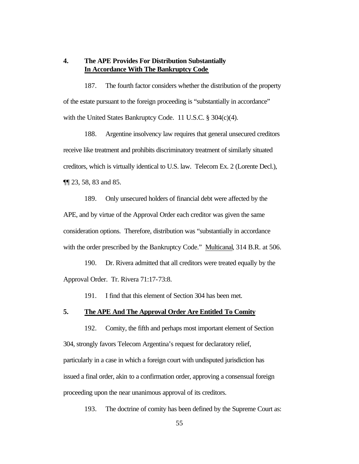# **4. The APE Provides For Distribution Substantially In Accordance With The Bankruptcy Code**

187. The fourth factor considers whether the distribution of the property of the estate pursuant to the foreign proceeding is "substantially in accordance" with the United States Bankruptcy Code. 11 U.S.C. § 304(c)(4).

188. Argentine insolvency law requires that general unsecured creditors receive like treatment and prohibits discriminatory treatment of similarly situated creditors, which is virtually identical to U.S. law. Telecom Ex. 2 (Lorente Decl.), ¶¶ 23, 58, 83 and 85.

189. Only unsecured holders of financial debt were affected by the APE, and by virtue of the Approval Order each creditor was given the same consideration options. Therefore, distribution was "substantially in accordance with the order prescribed by the Bankruptcy Code." Multicanal, 314 B.R. at 506.

190. Dr. Rivera admitted that all creditors were treated equally by the Approval Order. Tr. Rivera 71:17-73:8.

191. I find that this element of Section 304 has been met.

## **5. The APE And The Approval Order Are Entitled To Comity**

192. Comity, the fifth and perhaps most important element of Section 304, strongly favors Telecom Argentina's request for declaratory relief, particularly in a case in which a foreign court with undisputed jurisdiction has issued a final order, akin to a confirmation order, approving a consensual foreign proceeding upon the near unanimous approval of its creditors.

193. The doctrine of comity has been defined by the Supreme Court as: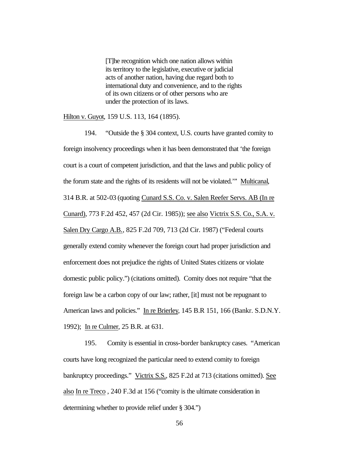[T]he recognition which one nation allows within its territory to the legislative, executive or judicial acts of another nation, having due regard both to international duty and convenience, and to the rights of its own citizens or of other persons who are under the protection of its laws.

Hilton v. Guyot, 159 U.S. 113, 164 (1895).

194. "Outside the § 304 context, U.S. courts have granted comity to foreign insolvency proceedings when it has been demonstrated that 'the foreign court is a court of competent jurisdiction, and that the laws and public policy of the forum state and the rights of its residents will not be violated.'" Multicanal, 314 B.R. at 502-03 (quoting Cunard S.S. Co. v. Salen Reefer Servs. AB (In re Cunard), 773 F.2d 452, 457 (2d Cir. 1985)); see also Victrix S.S. Co., S.A. v. Salen Dry Cargo A.B., 825 F.2d 709, 713 (2d Cir. 1987) ("Federal courts generally extend comity whenever the foreign court had proper jurisdiction and enforcement does not prejudice the rights of United States citizens or violate domestic public policy.") (citations omitted). Comity does not require "that the foreign law be a carbon copy of our law; rather, [it] must not be repugnant to American laws and policies." In re Brierley, 145 B.R 151, 166 (Bankr. S.D.N.Y. 1992); In re Culmer, 25 B.R. at 631.

195. Comity is essential in cross-border bankruptcy cases. "American courts have long recognized the particular need to extend comity to foreign bankruptcy proceedings." Victrix S.S., 825 F.2d at 713 (citations omitted). See also In re Treco , 240 F.3d at 156 ("comity is the ultimate consideration in determining whether to provide relief under § 304.")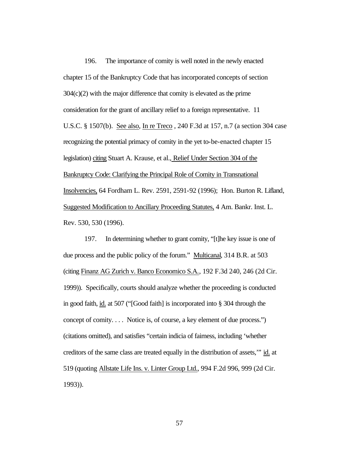196. The importance of comity is well noted in the newly enacted chapter 15 of the Bankruptcy Code that has incorporated concepts of section  $304(c)(2)$  with the major difference that comity is elevated as the prime consideration for the grant of ancillary relief to a foreign representative. 11 U.S.C. § 1507(b). See also, In re Treco , 240 F.3d at 157, n.7 (a section 304 case recognizing the potential primacy of comity in the yet to-be-enacted chapter 15 legislation) citing Stuart A. Krause, et al., Relief Under Section 304 of the Bankruptcy Code: Clarifying the Principal Role of Comity in Transnational Insolvencies, 64 Fordham L. Rev. 2591, 2591-92 (1996); Hon. Burton R. Lifland, Suggested Modification to Ancillary Proceeding Statutes, 4 Am. Bankr. Inst. L. Rev. 530, 530 (1996).

197. In determining whether to grant comity, "[t]he key issue is one of due process and the public policy of the forum." Multicanal, 314 B.R. at 503 (citing Finanz AG Zurich v. Banco Economico S.A., 192 F.3d 240, 246 (2d Cir. 1999)). Specifically, courts should analyze whether the proceeding is conducted in good faith, id. at 507 ("[Good faith] is incorporated into § 304 through the concept of comity. . . . Notice is, of course, a key element of due process.") (citations omitted), and satisfies "certain indicia of fairness, including 'whether creditors of the same class are treated equally in the distribution of assets,'" id. at 519 (quoting Allstate Life Ins. v. Linter Group Ltd., 994 F.2d 996, 999 (2d Cir. 1993)).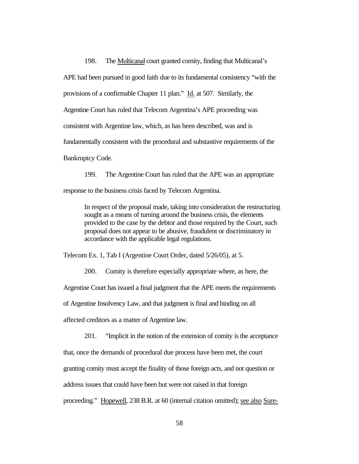198. The Multicanal court granted comity, finding that Multicanal's APE had been pursued in good faith due to its fundamental consistency "with the provisions of a confirmable Chapter 11 plan." Id. at 507. Similarly, the Argentine Court has ruled that Telecom Argentina's APE proceeding was consistent with Argentine law, which, as has been described, was and is fundamentally consistent with the procedural and substantive requirements of the Bankruptcy Code.

199. The Argentine Court has ruled that the APE was an appropriate response to the business crisis faced by Telecom Argentina.

In respect of the proposal made, taking into consideration the restructuring sought as a means of turning around the business crisis, the elements provided to the case by the debtor and those required by the Court, such proposal does not appear to be abusive, fraudulent or discriminatory in accordance with the applicable legal regulations.

Telecom Ex. 1, Tab I (Argentine Court Order, dated 5/26/05), at 5.

200. Comity is therefore especially appropriate where, as here, the

Argentine Court has issued a final judgment that the APE meets the requirements

of Argentine Insolvency Law, and that judgment is final and binding on all

affected creditors as a matter of Argentine law.

201. "Implicit in the notion of the extension of comity is the acceptance

that, once the demands of procedural due process have been met, the court

granting comity must accept the finality of those foreign acts, and not question or

address issues that could have been but were not raised in that foreign

proceeding." Hopewell, 238 B.R. at 60 (internal citation omitted); see also Sure-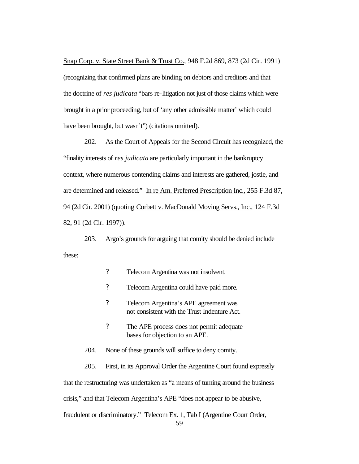Snap Corp. v. State Street Bank & Trust Co., 948 F.2d 869, 873 (2d Cir. 1991) (recognizing that confirmed plans are binding on debtors and creditors and that the doctrine of *res judicata* "bars re-litigation not just of those claims which were brought in a prior proceeding, but of 'any other admissible matter' which could have been brought, but wasn't") (citations omitted).

202. As the Court of Appeals for the Second Circuit has recognized, the "finality interests of *res judicata* are particularly important in the bankruptcy context, where numerous contending claims and interests are gathered, jostle, and are determined and released." In re Am. Preferred Prescription Inc., 255 F.3d 87, 94 (2d Cir. 2001) (quoting Corbett v. MacDonald Moving Servs., Inc., 124 F.3d 82, 91 (2d Cir. 1997)).

203. Argo's grounds for arguing that comity should be denied include these:

- ? Telecom Argentina was not insolvent.
- ? Telecom Argentina could have paid more.
- ? Telecom Argentina's APE agreement was not consistent with the Trust Indenture Act.
- ? The APE process does not permit adequate bases for objection to an APE.
- 204. None of these grounds will suffice to deny comity.

205. First, in its Approval Order the Argentine Court found expressly

that the restructuring was undertaken as "a means of turning around the business

crisis," and that Telecom Argentina's APE "does not appear to be abusive,

fraudulent or discriminatory." Telecom Ex. 1, Tab I (Argentine Court Order,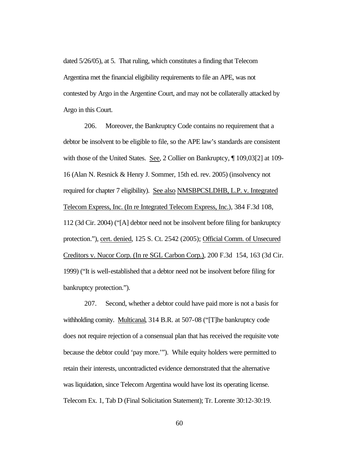dated 5/26/05), at 5. That ruling, which constitutes a finding that Telecom Argentina met the financial eligibility requirements to file an APE, was not contested by Argo in the Argentine Court, and may not be collaterally attacked by Argo in this Court.

206. Moreover, the Bankruptcy Code contains no requirement that a debtor be insolvent to be eligible to file, so the APE law's standards are consistent with those of the United States. See, 2 Collier on Bankruptcy, ¶ 109,03[2] at 109- 16 (Alan N. Resnick & Henry J. Sommer, 15th ed. rev. 2005) (insolvency not required for chapter 7 eligibility). See also NMSBPCSLDHB, L.P. v. Integrated Telecom Express, Inc. (In re Integrated Telecom Express, Inc.), 384 F.3d 108, 112 (3d Cir. 2004) ("[A] debtor need not be insolvent before filing for bankruptcy protection."), cert. denied, 125 S. Ct. 2542 (2005); Official Comm. of Unsecured Creditors v. Nucor Corp. (In re SGL Carbon Corp.), 200 F.3d 154, 163 (3d Cir. 1999) ("It is well-established that a debtor need not be insolvent before filing for bankruptcy protection.").

207. Second, whether a debtor could have paid more is not a basis for withholding comity. Multicanal, 314 B.R. at 507-08 ("[T]he bankruptcy code does not require rejection of a consensual plan that has received the requisite vote because the debtor could 'pay more.'"). While equity holders were permitted to retain their interests, uncontradicted evidence demonstrated that the alternative was liquidation, since Telecom Argentina would have lost its operating license. Telecom Ex. 1, Tab D (Final Solicitation Statement); Tr. Lorente 30:12-30:19.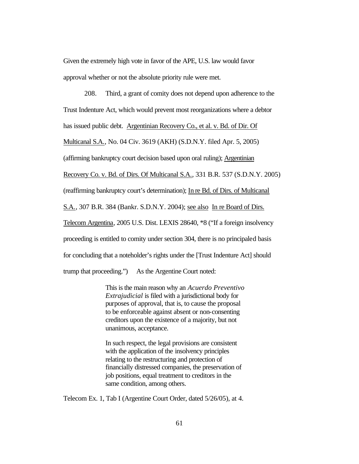Given the extremely high vote in favor of the APE, U.S. law would favor approval whether or not the absolute priority rule were met.

208. Third, a grant of comity does not depend upon adherence to the Trust Indenture Act, which would prevent most reorganizations where a debtor has issued public debt. Argentinian Recovery Co., et al. v. Bd. of Dir. Of Multicanal S.A., No. 04 Civ. 3619 (AKH) (S.D.N.Y. filed Apr. 5, 2005) (affirming bankruptcy court decision based upon oral ruling); Argentinian Recovery Co. v. Bd. of Dirs. Of Multicanal S.A., 331 B.R. 537 (S.D.N.Y. 2005) (reaffirming bankruptcy court's determination); In re Bd. of Dirs. of Multicanal S.A., 307 B.R. 384 (Bankr. S.D.N.Y. 2004); see also In re Board of Dirs. Telecom Argentina, 2005 U.S. Dist. LEXIS 28640, \*8 ("If a foreign insolvency proceeding is entitled to comity under section 304, there is no principaled basis for concluding that a noteholder's rights under the [Trust Indenture Act] should trump that proceeding.") As the Argentine Court noted:

> This is the main reason why an *Acuerdo Preventivo Extrajudicial* is filed with a jurisdictional body for purposes of approval, that is, to cause the proposal to be enforceable against absent or non-consenting creditors upon the existence of a majority, but not unanimous, acceptance.

In such respect, the legal provisions are consistent with the application of the insolvency principles relating to the restructuring and protection of financially distressed companies, the preservation of job positions, equal treatment to creditors in the same condition, among others.

Telecom Ex. 1, Tab I (Argentine Court Order, dated 5/26/05), at 4.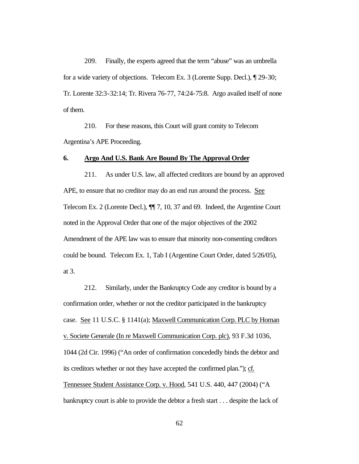209. Finally, the experts agreed that the term "abuse" was an umbrella for a wide variety of objections. Telecom Ex. 3 (Lorente Supp. Decl.), ¶ 29-30; Tr. Lorente 32:3-32:14; Tr. Rivera 76-77, 74:24-75:8. Argo availed itself of none of them.

210. For these reasons, this Court will grant comity to Telecom Argentina's APE Proceeding.

#### **6. Argo And U.S. Bank Are Bound By The Approval Order**

211. As under U.S. law, all affected creditors are bound by an approved APE, to ensure that no creditor may do an end run around the process. See Telecom Ex. 2 (Lorente Decl.), ¶¶ 7, 10, 37 and 69. Indeed, the Argentine Court noted in the Approval Order that one of the major objectives of the 2002 Amendment of the APE law was to ensure that minority non-consenting creditors could be bound. Telecom Ex. 1, Tab I (Argentine Court Order, dated 5/26/05), at 3.

212. Similarly, under the Bankruptcy Code any creditor is bound by a confirmation order, whether or not the creditor participated in the bankruptcy case. See 11 U.S.C. § 1141(a); Maxwell Communication Corp. PLC by Homan v. Societe Generale (In re Maxwell Communication Corp. plc), 93 F.3d 1036, 1044 (2d Cir. 1996) ("An order of confirmation concededly binds the debtor and its creditors whether or not they have accepted the confirmed plan."); cf. Tennessee Student Assistance Corp. v. Hood, 541 U.S. 440, 447 (2004) ("A bankruptcy court is able to provide the debtor a fresh start . . . despite the lack of